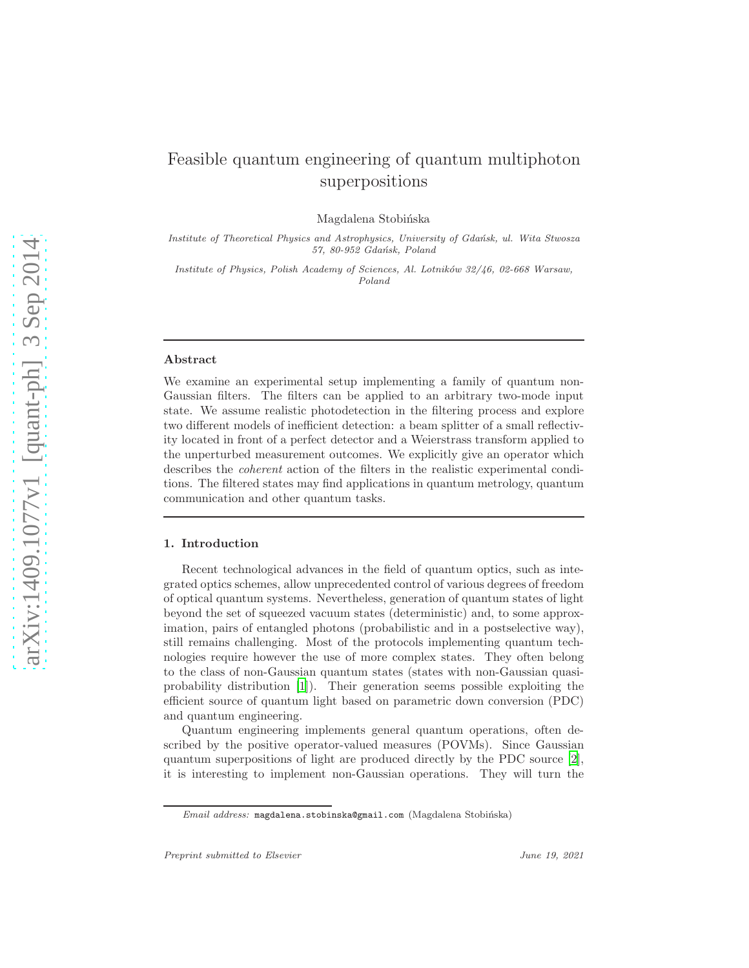# Feasible quantum engineering of quantum multiphoton superpositions

Magdalena Stobińska

*Institute of Theoretical Physics and Astrophysics, University of Gda´nsk, ul. Wita Stwosza 57, 80-952 Gda´nsk, Poland*

*Institute of Physics, Polish Academy of Sciences, Al. Lotnik´ow 32/46, 02-668 Warsaw, Poland*

#### Abstract

We examine an experimental setup implementing a family of quantum non-Gaussian filters. The filters can be applied to an arbitrary two-mode input state. We assume realistic photodetection in the filtering process and explore two different models of inefficient detection: a beam splitter of a small reflectivity located in front of a perfect detector and a Weierstrass transform applied to the unperturbed measurement outcomes. We explicitly give an operator which describes the *coherent* action of the filters in the realistic experimental conditions. The filtered states may find applications in quantum metrology, quantum communication and other quantum tasks.

## 1. Introduction

Recent technological advances in the field of quantum optics, such as integrated optics schemes, allow unprecedented control of various degrees of freedom of optical quantum systems. Nevertheless, generation of quantum states of light beyond the set of squeezed vacuum states (deterministic) and, to some approximation, pairs of entangled photons (probabilistic and in a postselective way), still remains challenging. Most of the protocols implementing quantum technologies require however the use of more complex states. They often belong to the class of non-Gaussian quantum states (states with non-Gaussian quasiprobability distribution [\[1\]](#page-21-0)). Their generation seems possible exploiting the efficient source of quantum light based on parametric down conversion (PDC) and quantum engineering.

Quantum engineering implements general quantum operations, often described by the positive operator-valued measures (POVMs). Since Gaussian quantum superpositions of light are produced directly by the PDC source [\[2\]](#page-22-0), it is interesting to implement non-Gaussian operations. They will turn the

*Email address:* magdalena.stobinska@gmail.com (Magdalena Stobińska)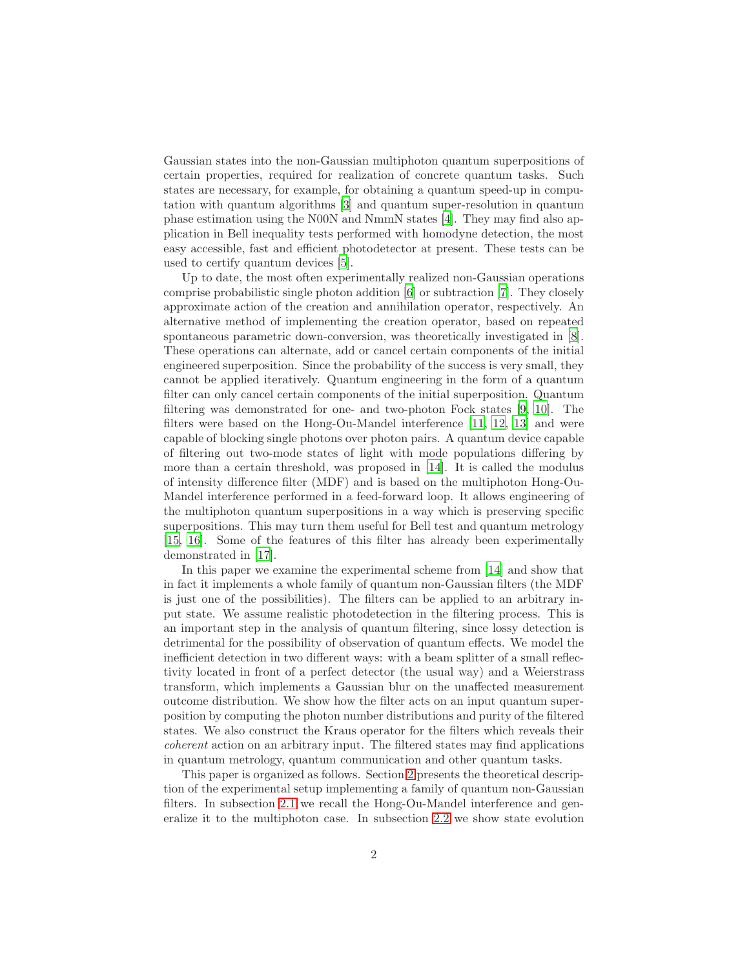Gaussian states into the non-Gaussian multiphoton quantum superpositions of certain properties, required for realization of concrete quantum tasks. Such states are necessary, for example, for obtaining a quantum speed-up in computation with quantum algorithms [\[3\]](#page-22-1) and quantum super-resolution in quantum phase estimation using the N00N and NmmN states [\[4\]](#page-22-2). They may find also application in Bell inequality tests performed with homodyne detection, the most easy accessible, fast and efficient photodetector at present. These tests can be used to certify quantum devices [\[5\]](#page-22-3).

Up to date, the most often experimentally realized non-Gaussian operations comprise probabilistic single photon addition [\[6\]](#page-22-4) or subtraction [\[7](#page-22-5)]. They closely approximate action of the creation and annihilation operator, respectively. An alternative method of implementing the creation operator, based on repeated spontaneous parametric down-conversion, was theoretically investigated in [\[8\]](#page-22-6). These operations can alternate, add or cancel certain components of the initial engineered superposition. Since the probability of the success is very small, they cannot be applied iteratively. Quantum engineering in the form of a quantum filter can only cancel certain components of the initial superposition. Quantum filtering was demonstrated for one- and two-photon Fock states [\[9](#page-22-7), [10](#page-22-8)]. The filters were based on the Hong-Ou-Mandel interference [\[11,](#page-22-9) [12](#page-22-10), [13](#page-22-11)] and were capable of blocking single photons over photon pairs. A quantum device capable of filtering out two-mode states of light with mode populations differing by more than a certain threshold, was proposed in [\[14\]](#page-22-12). It is called the modulus of intensity difference filter (MDF) and is based on the multiphoton Hong-Ou-Mandel interference performed in a feed-forward loop. It allows engineering of the multiphoton quantum superpositions in a way which is preserving specific superpositions. This may turn them useful for Bell test and quantum metrology [\[15,](#page-22-13) [16\]](#page-23-0). Some of the features of this filter has already been experimentally demonstrated in [\[17\]](#page-23-1).

In this paper we examine the experimental scheme from [\[14](#page-22-12)] and show that in fact it implements a whole family of quantum non-Gaussian filters (the MDF is just one of the possibilities). The filters can be applied to an arbitrary input state. We assume realistic photodetection in the filtering process. This is an important step in the analysis of quantum filtering, since lossy detection is detrimental for the possibility of observation of quantum effects. We model the inefficient detection in two different ways: with a beam splitter of a small reflectivity located in front of a perfect detector (the usual way) and a Weierstrass transform, which implements a Gaussian blur on the unaffected measurement outcome distribution. We show how the filter acts on an input quantum superposition by computing the photon number distributions and purity of the filtered states. We also construct the Kraus operator for the filters which reveals their coherent action on an arbitrary input. The filtered states may find applications in quantum metrology, quantum communication and other quantum tasks.

This paper is organized as follows. Section [2](#page-2-0) presents the theoretical description of the experimental setup implementing a family of quantum non-Gaussian filters. In subsection [2.1](#page-2-1) we recall the Hong-Ou-Mandel interference and generalize it to the multiphoton case. In subsection [2.2](#page-5-0) we show state evolution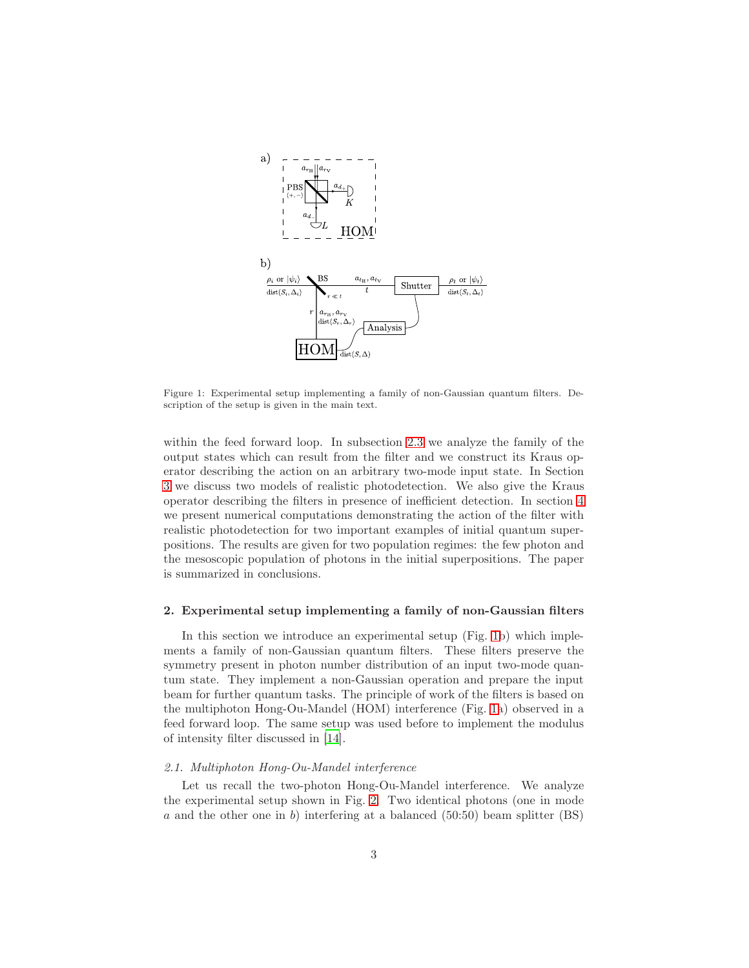

<span id="page-2-2"></span>Figure 1: Experimental setup implementing a family of non-Gaussian quantum filters. Description of the setup is given in the main text.

within the feed forward loop. In subsection [2.3](#page-7-0) we analyze the family of the output states which can result from the filter and we construct its Kraus operator describing the action on an arbitrary two-mode input state. In Section [3](#page-10-0) we discuss two models of realistic photodetection. We also give the Kraus operator describing the filters in presence of inefficient detection. In section [4](#page-14-0) we present numerical computations demonstrating the action of the filter with realistic photodetection for two important examples of initial quantum superpositions. The results are given for two population regimes: the few photon and the mesoscopic population of photons in the initial superpositions. The paper is summarized in conclusions.

### <span id="page-2-0"></span>2. Experimental setup implementing a family of non-Gaussian filters

In this section we introduce an experimental setup (Fig. [1b](#page-2-2)) which implements a family of non-Gaussian quantum filters. These filters preserve the symmetry present in photon number distribution of an input two-mode quantum state. They implement a non-Gaussian operation and prepare the input beam for further quantum tasks. The principle of work of the filters is based on the multiphoton Hong-Ou-Mandel (HOM) interference (Fig. [1a](#page-2-2)) observed in a feed forward loop. The same setup was used before to implement the modulus of intensity filter discussed in [\[14](#page-22-12)].

### <span id="page-2-1"></span>2.1. Multiphoton Hong-Ou-Mandel interference

Let us recall the two-photon Hong-Ou-Mandel interference. We analyze the experimental setup shown in Fig. [2.](#page-3-0) Two identical photons (one in mode a and the other one in b) interfering at a balanced (50:50) beam splitter (BS)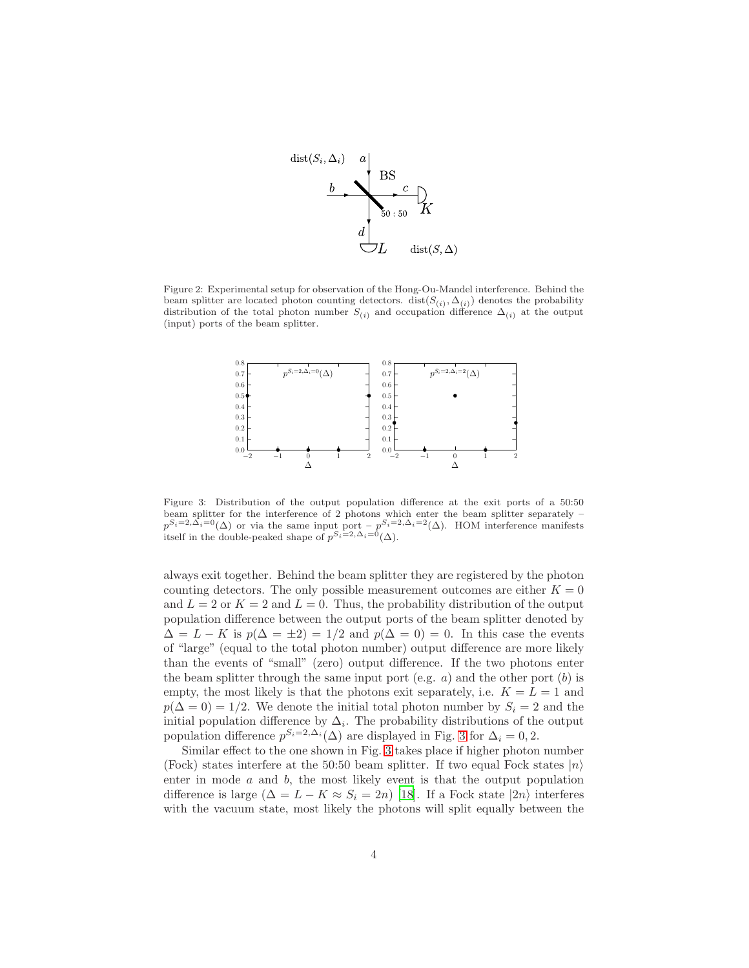

<span id="page-3-0"></span>Figure 2: Experimental setup for observation of the Hong-Ou-Mandel interference. Behind the beam splitter are located photon counting detectors.  $dist(S_{(i)}, \Delta_{(i)})$  denotes the probability distribution of the total photon number  $S_{(i)}$  and occupation difference  $\Delta_{(i)}$  at the output (input) ports of the beam splitter.



<span id="page-3-1"></span>Figure 3: Distribution of the output population difference at the exit ports of a 50:50 beam splitter for the interference of 2 photons which enter the beam splitter separately –  $p^{S_i=2,\Delta_i=0}(\Delta)$  or via the same input port –  $p^{S_i=2,\Delta_i=2}(\Delta)$ . HOM interference manifests itself in the double-peaked shape of  $p^{S_i=2,\Delta_i=0}(\Delta)$ .

always exit together. Behind the beam splitter they are registered by the photon counting detectors. The only possible measurement outcomes are either  $K = 0$ and  $L = 2$  or  $K = 2$  and  $L = 0$ . Thus, the probability distribution of the output population difference between the output ports of the beam splitter denoted by  $\Delta = L - K$  is  $p(\Delta = \pm 2) = 1/2$  and  $p(\Delta = 0) = 0$ . In this case the events of "large" (equal to the total photon number) output difference are more likely than the events of "small" (zero) output difference. If the two photons enter the beam splitter through the same input port (e.g.  $a$ ) and the other port  $(b)$  is empty, the most likely is that the photons exit separately, i.e.  $K = L = 1$  and  $p(\Delta = 0) = 1/2$ . We denote the initial total photon number by  $S_i = 2$  and the initial population difference by  $\Delta_i$ . The probability distributions of the output population difference  $p^{S_i=2,\Delta_i}(\Delta)$  are displayed in Fig. [3](#page-3-1) for  $\Delta_i=0,2$ .

Similar effect to the one shown in Fig. [3](#page-3-1) takes place if higher photon number (Fock) states interfere at the 50:50 beam splitter. If two equal Fock states  $|n\rangle$ enter in mode  $a$  and  $b$ , the most likely event is that the output population difference is large  $(\Delta = L - K \approx S_i = 2n)$  [\[18\]](#page-23-2). If a Fock state  $|2n\rangle$  interferes with the vacuum state, most likely the photons will split equally between the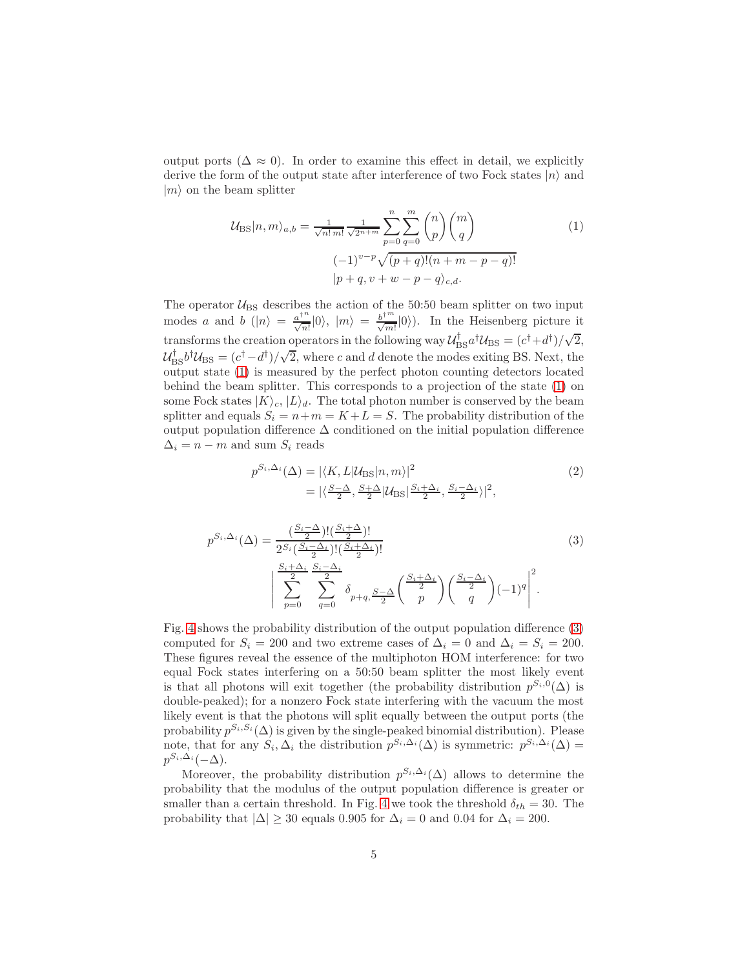output ports ( $\Delta \approx 0$ ). In order to examine this effect in detail, we explicitly derive the form of the output state after interference of two Fock states  $|n\rangle$  and  $|m\rangle$  on the beam splitter

<span id="page-4-0"></span>
$$
\mathcal{U}_{\text{BS}}|n,m\rangle_{a,b} = \frac{1}{\sqrt{n! \, m!}} \frac{1}{\sqrt{2^{n+m}}} \sum_{p=0}^{n} \sum_{q=0}^{m} {n \choose p} {m \choose q}
$$
\n
$$
(-1)^{v-p} \sqrt{(p+q)!(n+m-p-q)!}
$$
\n
$$
|p+q,v+w-p-q\rangle_{c,d}.
$$
\n(1)

The operator  $\mathcal{U}_{BS}$  describes the action of the 50:50 beam splitter on two input modes a and b  $(|n\rangle = \frac{a^{\dagger n}}{\sqrt{n!}}|0\rangle$ ,  $|m\rangle = \frac{b^{\dagger m}}{\sqrt{m!}}|0\rangle$ ). In the Heisenberg picture it transforms the creation operators in the following way  $\mathcal{U}_{\text{BS}}^{\dagger} a^{\dagger} \mathcal{U}_{\text{BS}} = (c^{\dagger} + d^{\dagger})/\sqrt{2}$ ,  $\mathcal{U}_{\text{BS}}^{\dagger}b^{\dagger}\mathcal{U}_{\text{BS}} = (c^{\dagger}-d^{\dagger})/\sqrt{2}$ , where c and d denote the modes exiting BS. Next, the output state [\(1\)](#page-4-0) is measured by the perfect photon counting detectors located behind the beam splitter. This corresponds to a projection of the state [\(1\)](#page-4-0) on some Fock states  $|K\rangle_c$ ,  $|L\rangle_d$ . The total photon number is conserved by the beam splitter and equals  $S_i = n+m = K+L = S$ . The probability distribution of the output population difference ∆ conditioned on the initial population difference  $\Delta_i = n - m$  and sum  $S_i$  reads

<span id="page-4-1"></span>
$$
p^{S_i, \Delta_i}(\Delta) = |\langle K, L | \mathcal{U}_{\text{BS}} | n, m \rangle|^2
$$
  
=  $|\langle \frac{S - \Delta}{2}, \frac{S + \Delta}{2} | \mathcal{U}_{\text{BS}} | \frac{S_i + \Delta_i}{2}, \frac{S_i - \Delta_i}{2} \rangle|^2$ , (2)

$$
p^{S_i, \Delta_i}(\Delta) = \frac{\left(\frac{S_i - \Delta}{2}\right)!(\frac{S_i + \Delta}{2})!}{2^{S_i}(\frac{S_i - \Delta_i}{2})!(\frac{S_i + \Delta_i}{2})!} \left(\sum_{p=0}^{\frac{S_i + \Delta_i}{2}} \frac{S_i - \Delta_i}{2}\right) \left(\frac{S_i + \Delta_i}{p}\right) \left(\frac{S_i - \Delta_i}{q}\right) (-1)^q\right)^2.
$$
\n
$$
(3)
$$

Fig. [4](#page-5-1) shows the probability distribution of the output population difference [\(3\)](#page-4-1) computed for  $S_i = 200$  and two extreme cases of  $\Delta_i = 0$  and  $\Delta_i = S_i = 200$ . These figures reveal the essence of the multiphoton HOM interference: for two equal Fock states interfering on a 50:50 beam splitter the most likely event is that all photons will exit together (the probability distribution  $p^{S_i,0}(\Delta)$  is double-peaked); for a nonzero Fock state interfering with the vacuum the most likely event is that the photons will split equally between the output ports (the probability  $p^{S_i, S_i}(\Delta)$  is given by the single-peaked binomial distribution). Please note, that for any  $S_i, \Delta_i$  the distribution  $p^{S_i,\Delta_i}(\Delta)$  is symmetric:  $p^{S_i,\Delta_i}(\Delta)$  =  $p^{S_i,\Delta_i}(-\Delta).$ 

Moreover, the probability distribution  $p^{S_i,\Delta_i}(\Delta)$  allows to determine the probability that the modulus of the output population difference is greater or smaller than a certain threshold. In Fig. [4](#page-5-1) we took the threshold  $\delta_{th} = 30$ . The probability that  $|\Delta| \geq 30$  equals 0.905 for  $\Delta_i = 0$  and 0.04 for  $\Delta_i = 200$ .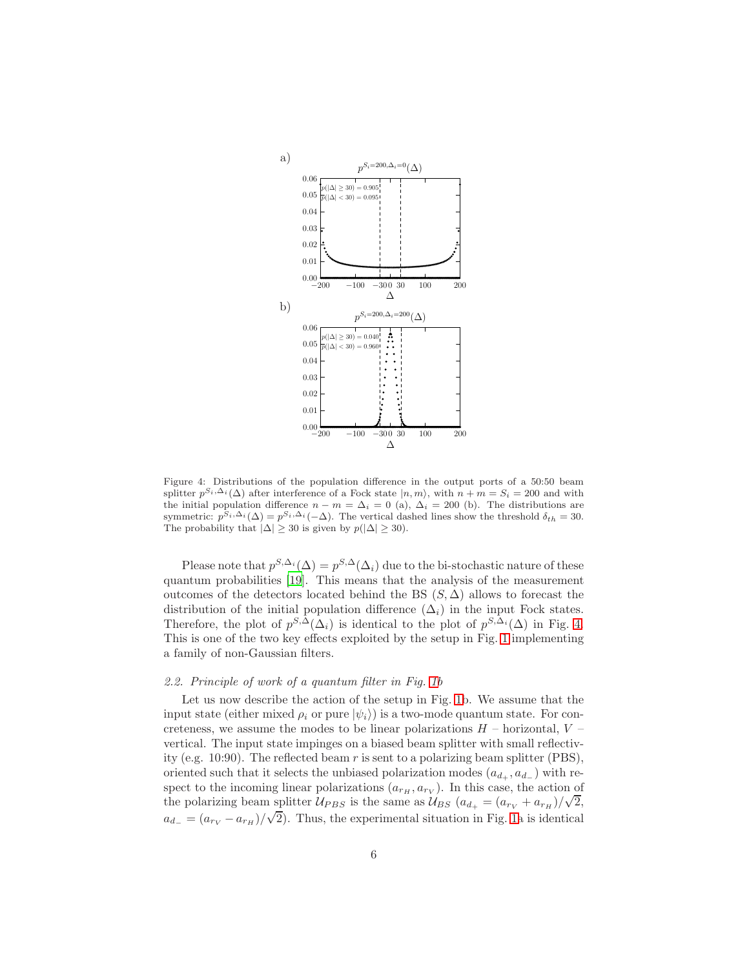

<span id="page-5-1"></span>Figure 4: Distributions of the population difference in the output ports of a 50:50 beam splitter  $p^{S_i,\Delta_i}(\Delta)$  after interference of a Fock state  $|n,m\rangle$ , with  $n+m=S_i=200$  and with the initial population difference  $n - m = \Delta_i = 0$  (a),  $\Delta_i = 200$  (b). The distributions are symmetric:  $p^{S_i, \Delta_i}(\Delta) = p^{S_i, \Delta_i}(-\Delta)$ . The vertical dashed lines show the threshold  $\delta_{th} = 30$ . The probability that  $|\Delta| \geq 30$  is given by  $p(|\Delta| \geq 30)$ .

Please note that  $p^{S,\Delta_i}(\Delta) = p^{S,\Delta}(\Delta_i)$  due to the bi-stochastic nature of these quantum probabilities [\[19\]](#page-23-3). This means that the analysis of the measurement outcomes of the detectors located behind the BS  $(S, \Delta)$  allows to forecast the distribution of the initial population difference  $(\Delta_i)$  in the input Fock states. Therefore, the plot of  $p^{S,\Delta}(\Delta_i)$  is identical to the plot of  $p^{S,\Delta_i}(\Delta)$  in Fig. [4.](#page-5-1) This is one of the two key effects exploited by the setup in Fig. [1](#page-2-2) implementing a family of non-Gaussian filters.

## <span id="page-5-0"></span>2.2. Principle of work of a quantum filter in Fig. [1b](#page-2-2)

Let us now describe the action of the setup in Fig. [1b](#page-2-2). We assume that the input state (either mixed  $\rho_i$  or pure  $|\psi_i\rangle$ ) is a two-mode quantum state. For concreteness, we assume the modes to be linear polarizations  $H$  – horizontal,  $V$  – vertical. The input state impinges on a biased beam splitter with small reflectivity (e.g. 10:90). The reflected beam  $r$  is sent to a polarizing beam splitter (PBS), oriented such that it selects the unbiased polarization modes  $(a_{d_+}, a_{d_-})$  with respect to the incoming linear polarizations  $(a_{r_H}, a_{r_V})$ . In this case, the action of the polarizing beam splitter  $U_{PBS}$  is the same as  $U_{BS}$  ( $a_{d_{+}} = (a_{r_V} + a_{r_H})/\sqrt{2}$ ,  $a_{d-} = (a_{rV} - a_{rH})/\sqrt{2}$ . Thus, the experimental situation in Fig. [1a](#page-2-2) is identical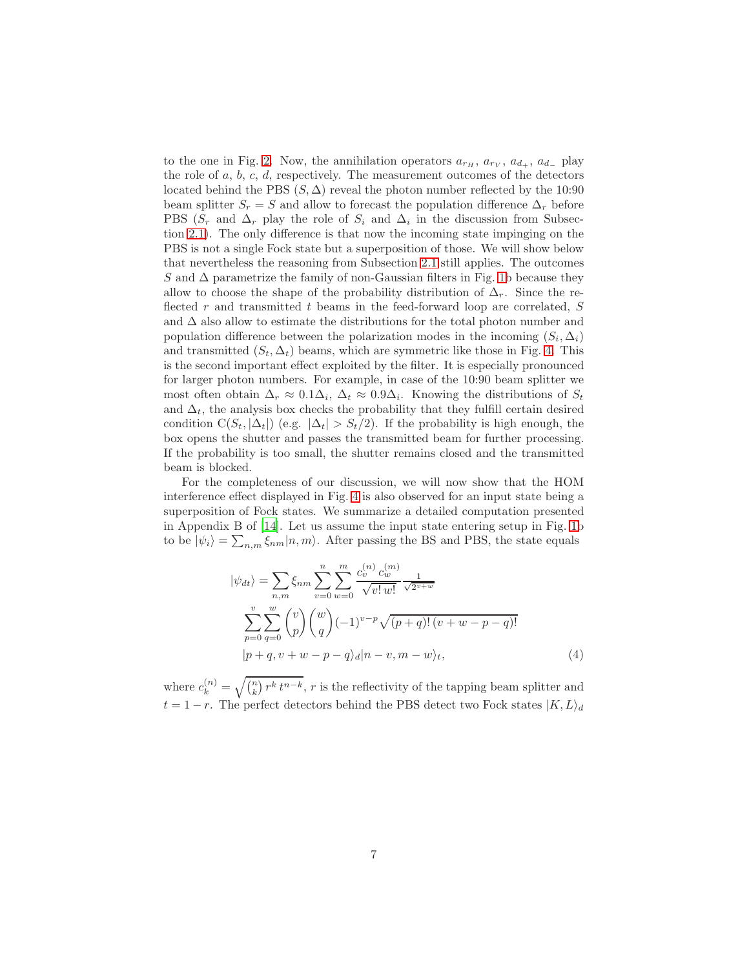to the one in Fig. [2.](#page-3-0) Now, the annihilation operators  $a_{r_H}$ ,  $a_{r_V}$ ,  $a_{d_+}$ ,  $a_{d_-}$  play the role of  $a, b, c, d$ , respectively. The measurement outcomes of the detectors located behind the PBS  $(S, \Delta)$  reveal the photon number reflected by the 10:90 beam splitter  $S_r = S$  and allow to forecast the population difference  $\Delta_r$  before PBS ( $S_r$  and  $\Delta_r$  play the role of  $S_i$  and  $\Delta_i$  in the discussion from Subsection [2.1\)](#page-2-1). The only difference is that now the incoming state impinging on the PBS is not a single Fock state but a superposition of those. We will show below that nevertheless the reasoning from Subsection [2.1](#page-2-1) still applies. The outcomes S and  $\Delta$  parametrize the family of non-Gaussian filters in Fig. [1b](#page-2-2) because they allow to choose the shape of the probability distribution of  $\Delta_r$ . Since the reflected r and transmitted t beams in the feed-forward loop are correlated,  $S$ and ∆ also allow to estimate the distributions for the total photon number and population difference between the polarization modes in the incoming  $(S_i, \Delta_i)$ and transmitted  $(S_t, \Delta_t)$  beams, which are symmetric like those in Fig. [4.](#page-5-1) This is the second important effect exploited by the filter. It is especially pronounced for larger photon numbers. For example, in case of the 10:90 beam splitter we most often obtain  $\Delta_r \approx 0.1\Delta_i$ ,  $\Delta_t \approx 0.9\Delta_i$ . Knowing the distributions of  $S_t$ and  $\Delta_t$ , the analysis box checks the probability that they fulfill certain desired condition  $C(S_t, |\Delta_t|)$  (e.g.  $|\Delta_t| > S_t/2$ ). If the probability is high enough, the box opens the shutter and passes the transmitted beam for further processing. If the probability is too small, the shutter remains closed and the transmitted beam is blocked.

For the completeness of our discussion, we will now show that the HOM interference effect displayed in Fig. [4](#page-5-1) is also observed for an input state being a superposition of Fock states. We summarize a detailed computation presented in Appendix B of [\[14\]](#page-22-12). Let us assume the input state entering setup in Fig. [1b](#page-2-2) to be  $|\psi_i\rangle = \sum_{n,m} \xi_{nm} |n,m\rangle$ . After passing the BS and PBS, the state equals

$$
|\psi_{dt}\rangle = \sum_{n,m} \xi_{nm} \sum_{v=0}^{n} \sum_{w=0}^{m} \frac{c_v^{(n)} c_w^{(m)}}{\sqrt{v! w!}} \frac{1}{\sqrt{2^{v+w}}}
$$
  

$$
\sum_{p=0}^{v} \sum_{q=0}^{w} {v \choose p} {w \choose q} (-1)^{v-p} \sqrt{(p+q)! (v+w-p-q)!}
$$
  

$$
|p+q, v+w-p-q \rangle_d |n-v, m-w \rangle_t,
$$
 (4)

where  $c_k^{(n)} = \sqrt{\binom{n}{k} r^k t^{n-k}}$ , r is the reflectivity of the tapping beam splitter and  $t = 1 - r$ . The perfect detectors behind the PBS detect two Fock states  $|K, L\rangle_d$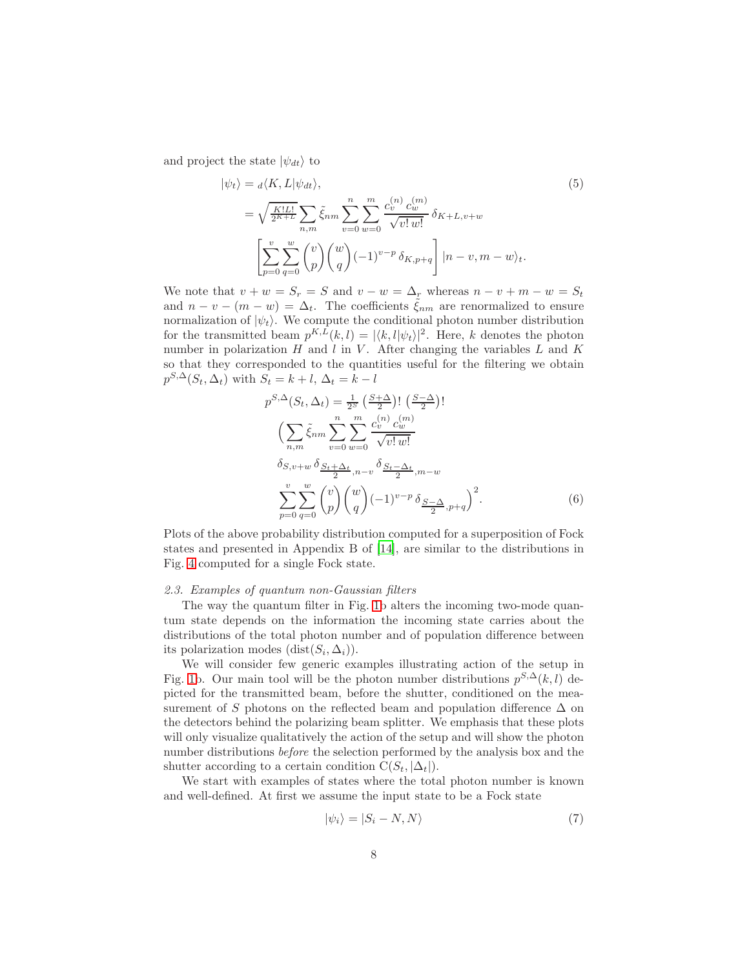and project the state  $|\psi_{dt}\rangle$  to

<span id="page-7-1"></span>
$$
|\psi_t\rangle = \frac{d}{K, L} |\psi_{dt}\rangle, \tag{5}
$$

$$
= \sqrt{\frac{K!L!}{2^{K+L}}} \sum_{n,m} \tilde{\xi}_{nm} \sum_{v=0}^{n} \sum_{w=0}^{m} \frac{c_v^{(n)} c_w^{(m)}}{\sqrt{v! w!}} \delta_{K+L, v+w}
$$

$$
\left[ \sum_{p=0}^{v} \sum_{q=0}^{w} \binom{v}{p} \binom{w}{q} (-1)^{v-p} \delta_{K, p+q} \right] |n-v, m-w\rangle_t.
$$

We note that  $v + w = S_r = S$  and  $v - w = \Delta_r$  whereas  $n - v + m - w = S_t$ and  $n - v - (m - w) = \Delta_t$ . The coefficients  $\tilde{\xi}_{nm}$  are renormalized to ensure normalization of  $|\psi_t\rangle$ . We compute the conditional photon number distribution for the transmitted beam  $p^{K,L}(k,l) = |\langle k, l | \psi_t \rangle|^2$ . Here, k denotes the photon number in polarization  $H$  and  $l$  in  $V$ . After changing the variables  $L$  and  $K$ so that they corresponded to the quantities useful for the filtering we obtain  $p^{S,\Delta}(S_t, \Delta_t)$  with  $S_t = k + l, \Delta_t = k - l$ 

<span id="page-7-2"></span>
$$
p^{S,\Delta}(S_t, \Delta_t) = \frac{1}{2^S} \left(\frac{S+\Delta}{2}\right)! \left(\frac{S-\Delta}{2}\right)! \n\left(\sum_{n,m} \tilde{\xi}_{nm} \sum_{v=0}^n \sum_{w=0}^m \frac{c_v^{(n)} c_w^{(m)}}{\sqrt{v! w!}}\right) \n\delta_{S,v+w} \delta_{\frac{S_t+\Delta_t}{2}, n-v} \delta_{\frac{S_t-\Delta_t}{2}, m-w} \n\sum_{p=0}^v \sum_{q=0}^w {v \choose p} {w \choose q} (-1)^{v-p} \delta_{\frac{S-\Delta}{2}, p+q} \right)^2.
$$
\n(6)

Plots of the above probability distribution computed for a superposition of Fock states and presented in Appendix B of [\[14\]](#page-22-12), are similar to the distributions in Fig. [4](#page-5-1) computed for a single Fock state.

#### <span id="page-7-0"></span>2.3. Examples of quantum non-Gaussian filters

The way the quantum filter in Fig. [1b](#page-2-2) alters the incoming two-mode quantum state depends on the information the incoming state carries about the distributions of the total photon number and of population difference between its polarization modes  $(\text{dist}(S_i, \Delta_i)).$ 

We will consider few generic examples illustrating action of the setup in Fig. [1b](#page-2-2). Our main tool will be the photon number distributions  $p^{S,\Delta}(k, l)$  depicted for the transmitted beam, before the shutter, conditioned on the measurement of S photons on the reflected beam and population difference  $\Delta$  on the detectors behind the polarizing beam splitter. We emphasis that these plots will only visualize qualitatively the action of the setup and will show the photon number distributions before the selection performed by the analysis box and the shutter according to a certain condition  $C(S_t, |\Delta_t|)$ .

We start with examples of states where the total photon number is known and well-defined. At first we assume the input state to be a Fock state

$$
|\psi_i\rangle = |S_i - N, N\rangle \tag{7}
$$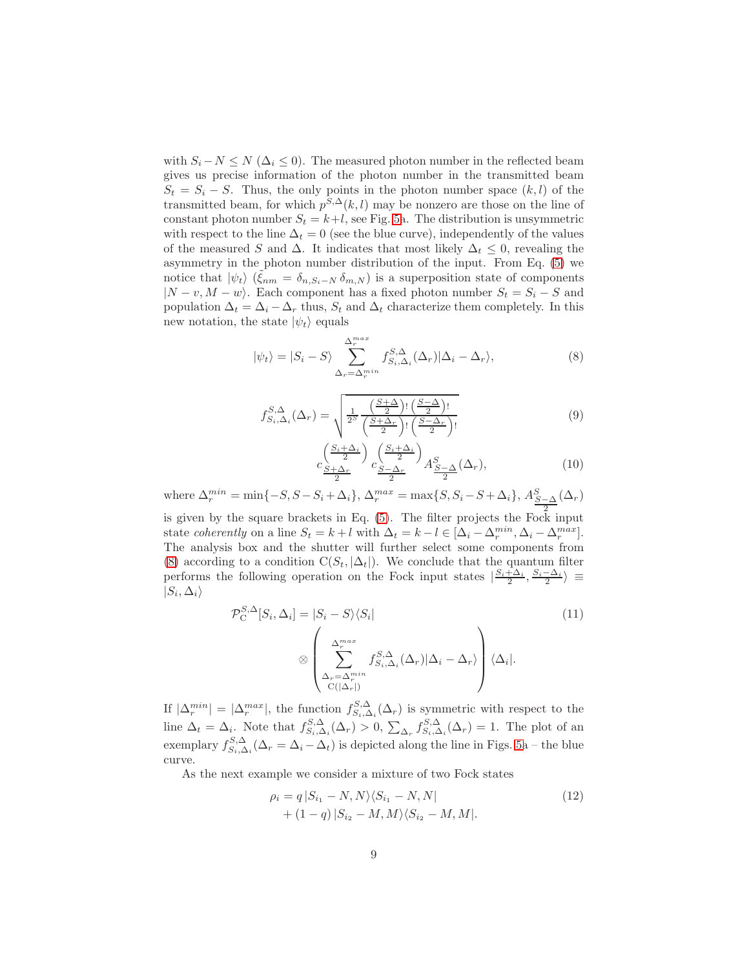with  $S_i - N \le N (\Delta_i \le 0)$ . The measured photon number in the reflected beam gives us precise information of the photon number in the transmitted beam  $S_t = S_i - S$ . Thus, the only points in the photon number space  $(k, l)$  of the transmitted beam, for which  $p^{S,\Delta}(k,l)$  may be nonzero are those on the line of constant photon number  $S_t = k+l$ , see Fig. [5a](#page-11-0). The distribution is unsymmetric with respect to the line  $\Delta_t = 0$  (see the blue curve), independently of the values of the measured S and  $\Delta$ . It indicates that most likely  $\Delta_t \leq 0$ , revealing the asymmetry in the photon number distribution of the input. From Eq. [\(5\)](#page-7-1) we notice that  $|\psi_t\rangle$   $(\tilde{\xi}_{nm} = \delta_{n,S_i-N} \delta_{m,N})$  is a superposition state of components  $|N - v, M - w\rangle$ . Each component has a fixed photon number  $S_t = S_i - S$  and population  $\Delta_t = \Delta_i - \Delta_r$  thus,  $S_t$  and  $\Delta_t$  characterize them completely. In this new notation, the state  $|\psi_t\rangle$  equals

$$
|\psi_t\rangle = |S_i - S\rangle \sum_{\Delta_r = \Delta_r^{min}}^{\Delta_r^{max}} f_{S_i, \Delta_i}^{S, \Delta}(\Delta_r) |\Delta_i - \Delta_r\rangle, \tag{8}
$$

$$
f_{S_i,\Delta_i}^{S,\Delta}(\Delta_r) = \sqrt{\frac{1}{2^S} \frac{\left(\frac{S+\Delta}{2}\right)! \left(\frac{S-\Delta}{2}\right)!}{\left(\frac{S+\Delta_r}{2}\right)! \left(\frac{S-\Delta_r}{2}\right)!}}
$$
(9)

<span id="page-8-1"></span><span id="page-8-0"></span>
$$
c \frac{\left(\frac{S_i + \Delta_i}{2}\right)}{\frac{S + \Delta_r}{2}} c \frac{\left(\frac{S_i + \Delta_i}{2}\right)}{\frac{S - \Delta_r}{2}} A \frac{S - \Delta_r}{2} (\Delta_r), \tag{10}
$$

where  $\Delta_r^{min} = \min\{-S, S - S_i + \Delta_i\}, \ \Delta_r^{max} = \max\{S, S_i - S + \Delta_i\}, \ A_{S-\Delta}^S(\Delta_r)$ 2 is given by the square brackets in Eq. [\(5\)](#page-7-1). The filter projects the Fock input state coherently on a line  $S_t = k + l$  with  $\Delta_t = k - l \in [\Delta_i - \Delta_r^{min}, \Delta_i - \Delta_r^{max}]$ . The analysis box and the shutter will further select some components from [\(8\)](#page-8-0) according to a condition  $C(S_t, |\Delta_t|)$ . We conclude that the quantum filter performs the following operation on the Fock input states  $\left|\frac{S_i+\Delta_i}{2},\frac{S_i-\Delta_i}{2}\right\rangle \equiv$  $|S_i,\Delta_i\rangle$ 

$$
\mathcal{P}_{\mathcal{C}}^{S,\Delta}[S_i, \Delta_i] = |S_i - S\rangle\langle S_i|
$$
\n
$$
\otimes \left(\sum_{\substack{\Delta_r^{\max} \\ \Delta_r = \Delta_r^{\min} \\ \mathcal{C}(|\Delta_r|)}}^{\Delta_r^{\max}} f_{S_i, \Delta_i}^{S, \Delta}(\Delta_r) |\Delta_i - \Delta_r\rangle\right) \langle \Delta_i|.
$$
\n(11)

If  $|\Delta_r^{min}| = |\Delta_r^{max}|$ , the function  $f_{S_i,\Delta_i}^{S,\Delta}(\Delta_r)$  is symmetric with respect to the line  $\Delta_t = \Delta_i$ . Note that  $f_{S_i, \Delta_i}^{S, \Delta}(\Delta_r) > 0$ ,  $\sum_{\Delta_r} f_{S_i, \Delta_i}^{S, \Delta}(\Delta_r) = 1$ . The plot of an exemplary  $f_{S_i,\Delta_i}^{S,\Delta}(\Delta_r = \Delta_i - \Delta_t)$  is depicted along the line in Figs. [5a](#page-11-0) – the blue curve.

As the next example we consider a mixture of two Fock states

$$
\rho_i = q |S_{i_1} - N, N\rangle \langle S_{i_1} - N, N| + (1 - q) |S_{i_2} - M, M\rangle \langle S_{i_2} - M, M|.
$$
\n(12)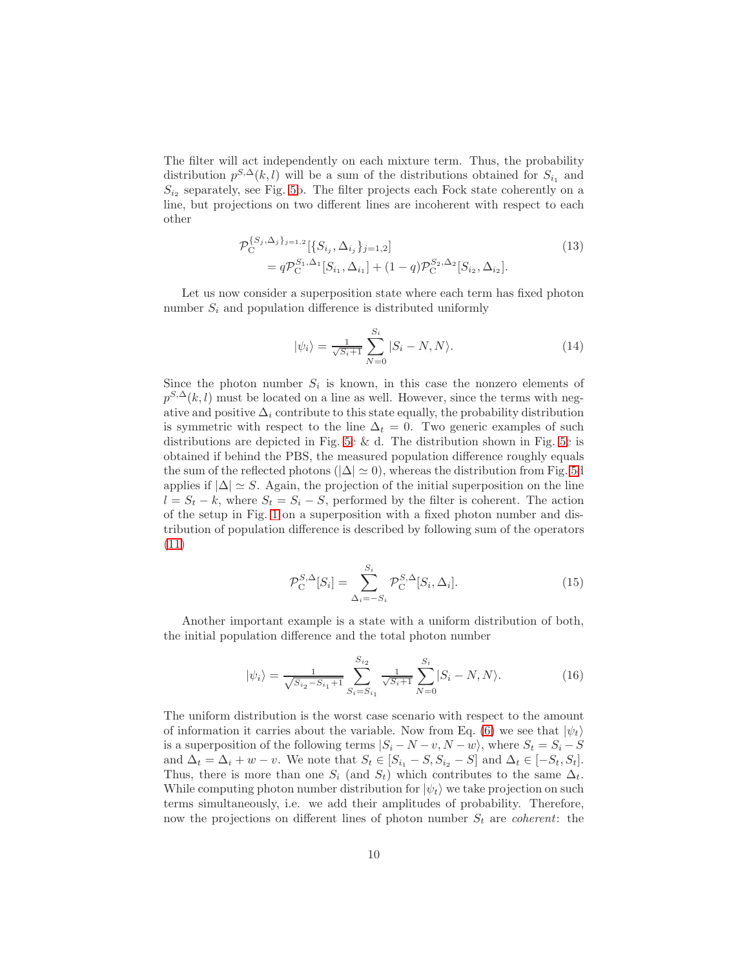The filter will act independently on each mixture term. Thus, the probability distribution  $p^{S,\Delta}(k,l)$  will be a sum of the distributions obtained for  $S_{i_1}$  and  $S_{i_2}$  separately, see Fig. [5b](#page-11-0). The filter projects each Fock state coherently on a line, but projections on two different lines are incoherent with respect to each other

$$
\mathcal{P}_{\mathcal{C}}^{\{S_j,\Delta_j\}_{j=1,2}}[\{S_{i_j},\Delta_{i_j}\}_{j=1,2}]
$$
\n
$$
= q \mathcal{P}_{\mathcal{C}}^{S_1,\Delta_1}[S_{i_1},\Delta_{i_1}] + (1-q) \mathcal{P}_{\mathcal{C}}^{S_2,\Delta_2}[S_{i_2},\Delta_{i_2}].
$$
\n(13)

Let us now consider a superposition state where each term has fixed photon number  $S_i$  and population difference is distributed uniformly

<span id="page-9-0"></span>
$$
|\psi_i\rangle = \frac{1}{\sqrt{S_i+1}} \sum_{N=0}^{S_i} |S_i - N, N\rangle.
$$
 (14)

Since the photon number  $S_i$  is known, in this case the nonzero elements of  $p^{S,\Delta}(k, l)$  must be located on a line as well. However, since the terms with negative and positive  $\Delta_i$  contribute to this state equally, the probability distribution is symmetric with respect to the line  $\Delta_t = 0$ . Two generic examples of such distributions are depicted in Fig. [5c](#page-11-0)  $\&$  d. The distribution shown in Fig. 5c is obtained if behind the PBS, the measured population difference roughly equals the sum of the reflected photons ( $|\Delta| \simeq 0$ ), whereas the distribution from Fig. [5d](#page-11-0) applies if  $|\Delta| \simeq S$ . Again, the projection of the initial superposition on the line  $l = S_t - k$ , where  $S_t = S_i - S$ , performed by the filter is coherent. The action of the setup in Fig. [1](#page-2-2) on a superposition with a fixed photon number and distribution of population difference is described by following sum of the operators [\(11\)](#page-8-1)

$$
\mathcal{P}_{\mathcal{C}}^{S,\Delta}[S_i] = \sum_{\Delta_i = -S_i}^{S_i} \mathcal{P}_{\mathcal{C}}^{S,\Delta}[S_i,\Delta_i].
$$
\n(15)

Another important example is a state with a uniform distribution of both, the initial population difference and the total photon number

<span id="page-9-1"></span>
$$
|\psi_i\rangle = \frac{1}{\sqrt{S_{i_2} - S_{i_1} + 1}} \sum_{S_i = S_{i_1}}^{S_{i_2}} \frac{1}{\sqrt{S_i + 1}} \sum_{N=0}^{S_i} |S_i - N, N\rangle.
$$
 (16)

The uniform distribution is the worst case scenario with respect to the amount of information it carries about the variable. Now from Eq. [\(6\)](#page-7-2) we see that  $|\psi_t\rangle$ is a superposition of the following terms  $|S_i - N - v, N - w\rangle$ , where  $S_t = S_i - S$ and  $\Delta_t = \Delta_i + w - v$ . We note that  $S_t \in [S_{i_1} - S, S_{i_2} - S]$  and  $\Delta_t \in [-S_t, S_t]$ . Thus, there is more than one  $S_i$  (and  $S_t$ ) which contributes to the same  $\Delta_t$ . While computing photon number distribution for  $|\psi_t\rangle$  we take projection on such terms simultaneously, i.e. we add their amplitudes of probability. Therefore, now the projections on different lines of photon number  $S_t$  are *coherent*: the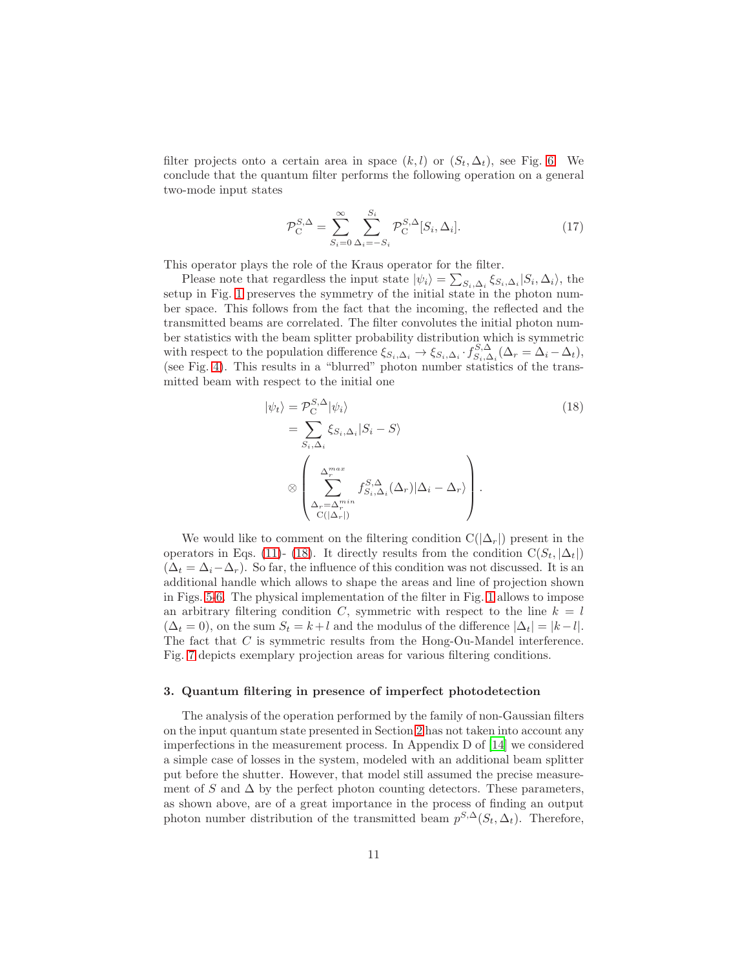filter projects onto a certain area in space  $(k, l)$  or  $(S_t, \Delta_t)$ , see Fig. [6.](#page-11-1) We conclude that the quantum filter performs the following operation on a general two-mode input states

$$
\mathcal{P}_{\mathcal{C}}^{S,\Delta} = \sum_{S_i=0}^{\infty} \sum_{\Delta_i=-S_i}^{S_i} \mathcal{P}_{\mathcal{C}}^{S,\Delta}[S_i,\Delta_i].
$$
\n(17)

This operator plays the role of the Kraus operator for the filter.

Please note that regardless the input state  $|\psi_i\rangle = \sum_{S_i, \Delta_i} \xi_{S_i, \Delta_i} |S_i, \Delta_i\rangle$ , the setup in Fig. [1](#page-2-2) preserves the symmetry of the initial state in the photon number space. This follows from the fact that the incoming, the reflected and the transmitted beams are correlated. The filter convolutes the initial photon number statistics with the beam splitter probability distribution which is symmetric with respect to the population difference  $\xi_{S_i,\Delta_i} \to \xi_{S_i,\Delta_i} \cdot f_{S_i,\Delta_i}^{S,\Delta} (\Delta_r = \Delta_i - \Delta_t)$ , (see Fig. [4\)](#page-5-1). This results in a "blurred" photon number statistics of the transmitted beam with respect to the initial one

<span id="page-10-1"></span>
$$
|\psi_t\rangle = \mathcal{P}_C^{S,\Delta} |\psi_i\rangle
$$
  
\n
$$
= \sum_{S_i, \Delta_i} \xi_{S_i, \Delta_i} |S_i - S\rangle
$$
  
\n
$$
\otimes \left( \sum_{\Delta_r = \Delta_r^{min}}^{\Delta_r^{max}} f_{S_i, \Delta_i}^{S,\Delta} (\Delta_r) |\Delta_i - \Delta_r\rangle \right).
$$
\n(18)

We would like to comment on the filtering condition  $C(|\Delta_r|)$  present in the operators in Eqs. [\(11\)](#page-8-1)- [\(18\)](#page-10-1). It directly results from the condition  $C(S_t, |\Delta_t|)$  $(\Delta_t = \Delta_i - \Delta_r)$ . So far, the influence of this condition was not discussed. It is an additional handle which allows to shape the areas and line of projection shown in Figs. [5-](#page-11-0)[6.](#page-11-1) The physical implementation of the filter in Fig. [1](#page-2-2) allows to impose an arbitrary filtering condition C, symmetric with respect to the line  $k = l$  $(\Delta_t = 0)$ , on the sum  $S_t = k+l$  and the modulus of the difference  $|\Delta_t| = |k-l|$ . The fact that C is symmetric results from the Hong-Ou-Mandel interference. Fig. [7](#page-12-0) depicts exemplary projection areas for various filtering conditions.

#### <span id="page-10-0"></span>3. Quantum filtering in presence of imperfect photodetection

The analysis of the operation performed by the family of non-Gaussian filters on the input quantum state presented in Section [2](#page-2-0) has not taken into account any imperfections in the measurement process. In Appendix D of [\[14](#page-22-12)] we considered a simple case of losses in the system, modeled with an additional beam splitter put before the shutter. However, that model still assumed the precise measurement of S and  $\Delta$  by the perfect photon counting detectors. These parameters, as shown above, are of a great importance in the process of finding an output photon number distribution of the transmitted beam  $p^{S,\Delta}(S_t, \Delta_t)$ . Therefore,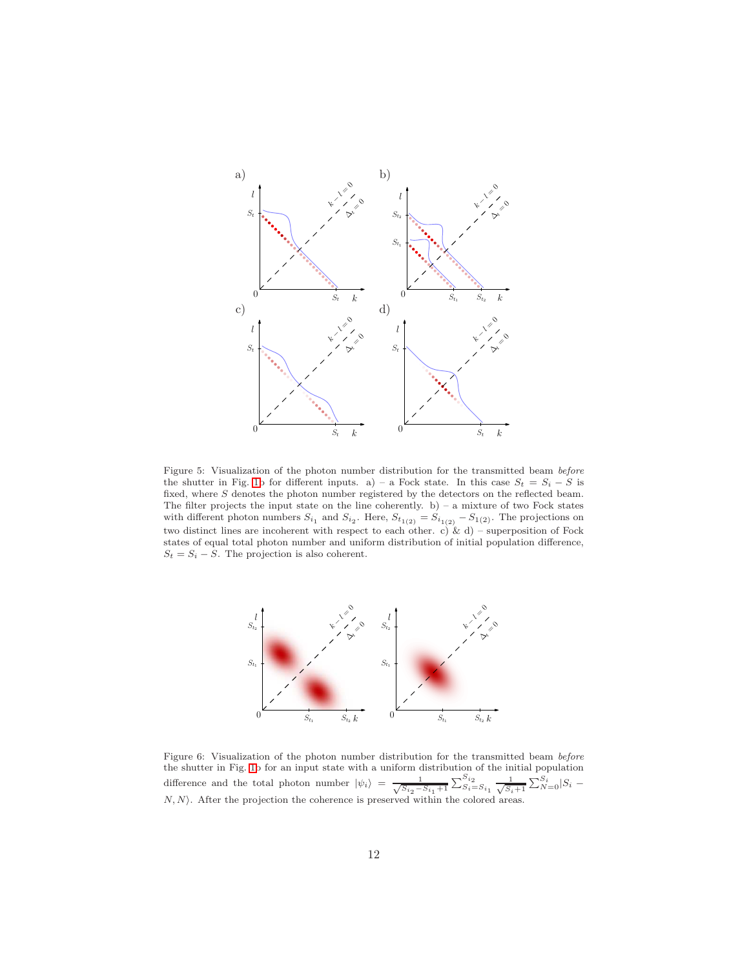

<span id="page-11-0"></span>Figure 5: Visualization of the photon number distribution for the transmitted beam *before* the shutter in Fig. [1b](#page-2-2) for different inputs. a) – a Fock state. In this case  $S_t = S_i - S$  is fixed, where  $S$  denotes the photon number registered by the detectors on the reflected beam. The filter projects the input state on the line coherently.  $b$ ) – a mixture of two Fock states with different photon numbers  $S_{i_1}$  and  $S_{i_2}$ . Here,  $S_{t_1(2)} = S_{i_1(2)} - S_{1(2)}$ . The projections on two distinct lines are incoherent with respect to each other. c) & d) – superposition of Fock states of equal total photon number and uniform distribution of initial population difference,  $S_t = S_i - S$ . The projection is also coherent.



<span id="page-11-1"></span>Figure 6: Visualization of the photon number distribution for the transmitted beam *before* the shutter in Fig. [1b](#page-2-2) for an input state with a uniform distribution of the initial population difference and the total photon number  $|\psi_i\rangle = \frac{1}{\sqrt{S_{i_2} - S_{i_1} + 1}} \sum_{i=1}^{S_{i_2}} S_{i} = S_{i_1} \frac{1}{\sqrt{S_{i+1}}} \sum_{i=1}^{S_i} S_i N, N$ ). After the projection the coherence is preserved within the colored areas.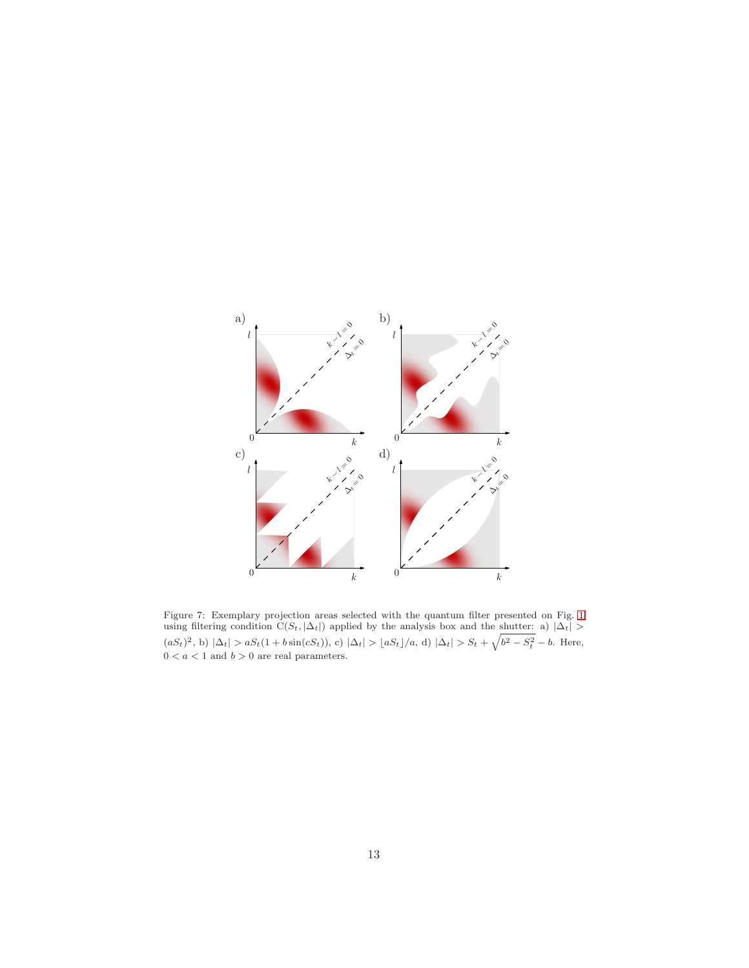

<span id="page-12-0"></span>Figure 7: Exemplary projection areas selected with the quantum filter presented on Fig. [1](#page-2-2) using filtering condition  $C(S_t, |\Delta_t|)$  applied by the analysis box and the shutter: a)  $|\Delta_t|$  >  $(aS_t)^2$ , b)  $|\Delta_t| > aS_t(1 + b\sin(cS_t)), c)$   $|\Delta_t| > aS_t/|a, d|$   $|\Delta_t| > S_t + \sqrt{b^2 - S_t^2} - b$ . Here,  $0 < a < 1$  and  $b > 0$  are real parameters.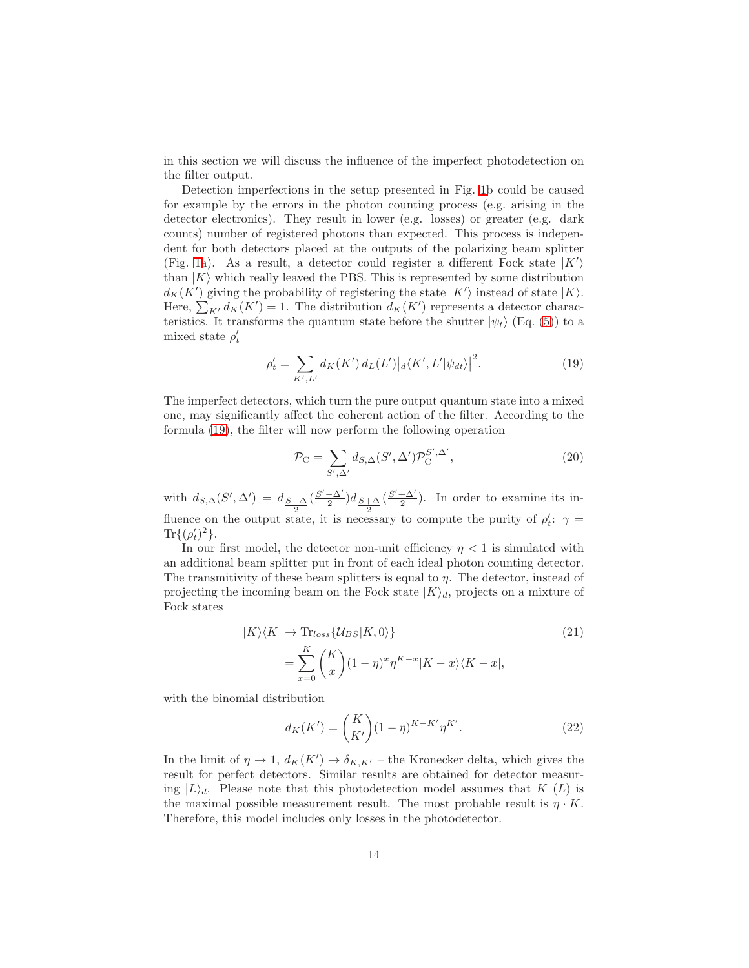in this section we will discuss the influence of the imperfect photodetection on the filter output.

Detection imperfections in the setup presented in Fig. [1b](#page-2-2) could be caused for example by the errors in the photon counting process (e.g. arising in the detector electronics). They result in lower (e.g. losses) or greater (e.g. dark counts) number of registered photons than expected. This process is independent for both detectors placed at the outputs of the polarizing beam splitter (Fig. [1a](#page-2-2)). As a result, a detector could register a different Fock state  $|K'\rangle$ than  $|K\rangle$  which really leaved the PBS. This is represented by some distribution  $d_K(K')$  giving the probability of registering the state  $|K'\rangle$  instead of state  $|K\rangle$ . Here,  $\sum_{K'} d_K(K') = 1$ . The distribution  $d_K(K')$  represents a detector characteristics. It transforms the quantum state before the shutter  $|\psi_t\rangle$  (Eq. [\(5\)](#page-7-1)) to a mixed state  $\rho'_t$ 

$$
\rho'_{t} = \sum_{K',L'} d_{K}(K') d_{L}(L') |d_{K',L'}|\psi_{dt}\rangle|^{2}.
$$
\n(19)

The imperfect detectors, which turn the pure output quantum state into a mixed one, may significantly affect the coherent action of the filter. According to the formula [\(19\)](#page-13-0), the filter will now perform the following operation

<span id="page-13-0"></span>
$$
\mathcal{P}_{\mathcal{C}} = \sum_{S',\Delta'} d_{S,\Delta}(S',\Delta') \mathcal{P}_{\mathcal{C}}^{S',\Delta'},\tag{20}
$$

with  $d_{S,\Delta}(S',\Delta') = d_{\frac{S-\Delta}{2}}$  $\left(\frac{S'-\Delta'}{2}\right)d_{\frac{S+\Delta}{2}}$  $\left(\frac{S'+\Delta'}{2}\right)$ . In order to examine its influence on the output state, it is necessary to compute the purity of  $\rho'_t$ :  $\gamma =$  $\text{Tr}\{(\rho_t')^2\}.$ 

In our first model, the detector non-unit efficiency  $\eta < 1$  is simulated with an additional beam splitter put in front of each ideal photon counting detector. The transmitivity of these beam splitters is equal to  $\eta$ . The detector, instead of projecting the incoming beam on the Fock state  $|K\rangle_d$ , projects on a mixture of Fock states

$$
|K\rangle\langle K| \to \text{Tr}_{loss} \{ \mathcal{U}_{BS} | K, 0 \rangle \}
$$
\n
$$
= \sum_{x=0}^{K} {K \choose x} (1-\eta)^x \eta^{K-x} |K-x\rangle\langle K-x|,
$$
\n(21)

with the binomial distribution

<span id="page-13-1"></span>
$$
d_K(K') = {K \choose K'} (1 - \eta)^{K - K'} \eta^{K'}.
$$
 (22)

In the limit of  $\eta \to 1$ ,  $d_K(K') \to \delta_{K,K'}$  – the Kronecker delta, which gives the result for perfect detectors. Similar results are obtained for detector measuring  $|L\rangle_d$ . Please note that this photodetection model assumes that K (L) is the maximal possible measurement result. The most probable result is  $\eta \cdot K$ . Therefore, this model includes only losses in the photodetector.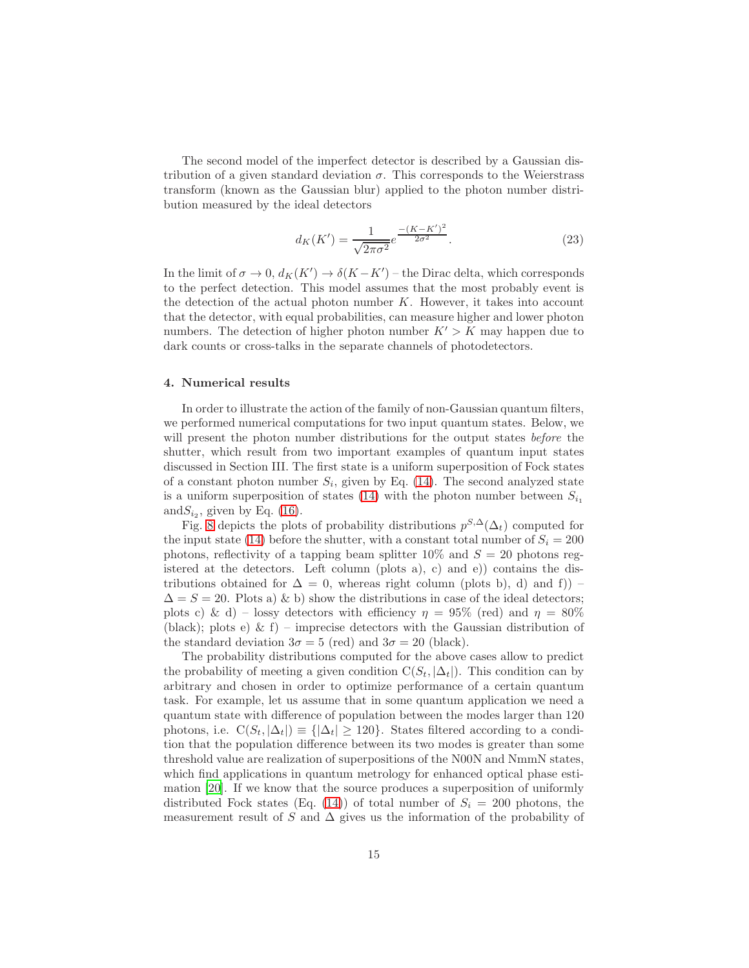The second model of the imperfect detector is described by a Gaussian distribution of a given standard deviation  $\sigma$ . This corresponds to the Weierstrass transform (known as the Gaussian blur) applied to the photon number distribution measured by the ideal detectors

<span id="page-14-1"></span>
$$
d_K(K') = \frac{1}{\sqrt{2\pi\sigma^2}} e^{\frac{-(K-K')^2}{2\sigma^2}}.
$$
\n(23)

In the limit of  $\sigma \to 0$ ,  $d_K(K') \to \delta(K - K')$  – the Dirac delta, which corresponds to the perfect detection. This model assumes that the most probably event is the detection of the actual photon number  $K$ . However, it takes into account that the detector, with equal probabilities, can measure higher and lower photon numbers. The detection of higher photon number  $K' > K$  may happen due to dark counts or cross-talks in the separate channels of photodetectors.

#### <span id="page-14-0"></span>4. Numerical results

In order to illustrate the action of the family of non-Gaussian quantum filters, we performed numerical computations for two input quantum states. Below, we will present the photon number distributions for the output states *before* the shutter, which result from two important examples of quantum input states discussed in Section III. The first state is a uniform superposition of Fock states of a constant photon number  $S_i$ , given by Eq. [\(14\)](#page-9-0). The second analyzed state is a uniform superposition of states [\(14\)](#page-9-0) with the photon number between  $S_{i_1}$ and  $S_{i_2}$ , given by Eq. [\(16\)](#page-9-1).

Fig. [8](#page-16-0) depicts the plots of probability distributions  $p^{S,\Delta}(\Delta_t)$  computed for the input state [\(14\)](#page-9-0) before the shutter, with a constant total number of  $S_i = 200$ photons, reflectivity of a tapping beam splitter  $10\%$  and  $S = 20$  photons registered at the detectors. Left column (plots a), c) and e)) contains the distributions obtained for  $\Delta = 0$ , whereas right column (plots b), d) and f)) –  $\Delta = S = 20$ . Plots a) & b) show the distributions in case of the ideal detectors; plots c) & d) – lossy detectors with efficiency  $\eta = 95\%$  (red) and  $\eta = 80\%$ (black); plots e) & f) – imprecise detectors with the Gaussian distribution of the standard deviation  $3\sigma = 5$  (red) and  $3\sigma = 20$  (black).

The probability distributions computed for the above cases allow to predict the probability of meeting a given condition  $C(S_t, |\Delta_t|)$ . This condition can by arbitrary and chosen in order to optimize performance of a certain quantum task. For example, let us assume that in some quantum application we need a quantum state with difference of population between the modes larger than 120 photons, i.e.  $C(S_t, |\Delta_t|) \equiv {|\Delta_t| \ge 120}$ . States filtered according to a condition that the population difference between its two modes is greater than some threshold value are realization of superpositions of the N00N and NmmN states, which find applications in quantum metrology for enhanced optical phase estimation [\[20](#page-23-4)]. If we know that the source produces a superposition of uniformly distributed Fock states (Eq. [\(14\)](#page-9-0)) of total number of  $S_i = 200$  photons, the measurement result of S and  $\Delta$  gives us the information of the probability of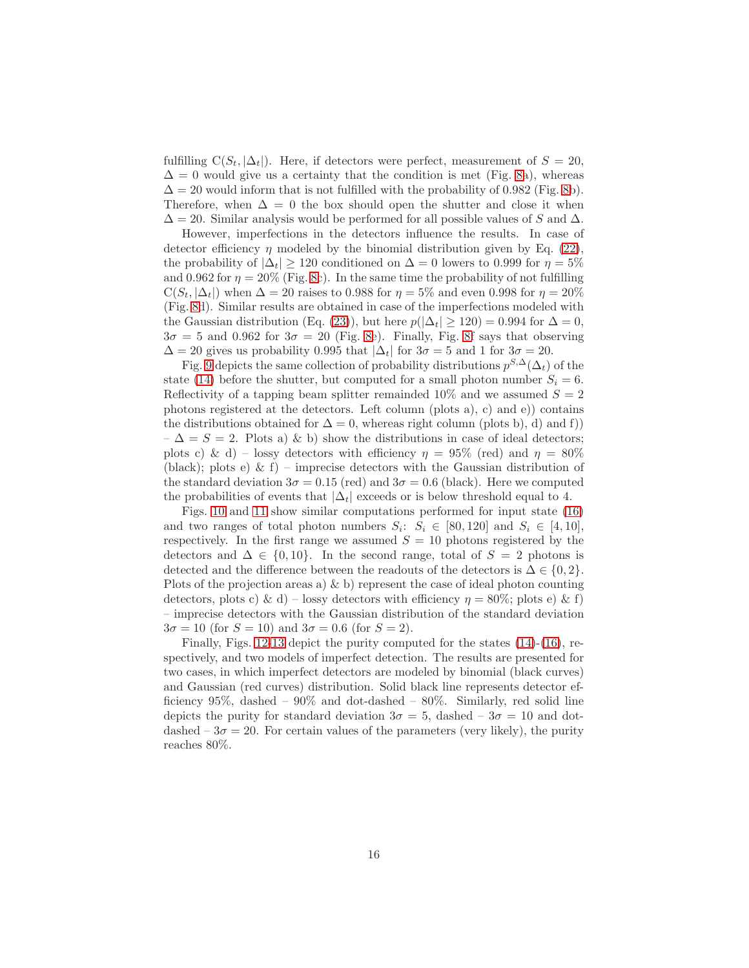fulfilling  $C(S_t, |\Delta_t|)$ . Here, if detectors were perfect, measurement of  $S = 20$ ,  $\Delta = 0$  would give us a certainty that the condition is met (Fig. [8a](#page-16-0)), whereas  $\Delta = 20$  would inform that is not fulfilled with the probability of 0.982 (Fig. [8b](#page-16-0)). Therefore, when  $\Delta = 0$  the box should open the shutter and close it when  $\Delta = 20$ . Similar analysis would be performed for all possible values of S and  $\Delta$ .

However, imperfections in the detectors influence the results. In case of detector efficiency  $\eta$  modeled by the binomial distribution given by Eq. [\(22\)](#page-13-1), the probability of  $|\Delta_t| \geq 120$  conditioned on  $\Delta = 0$  lowers to 0.999 for  $\eta = 5\%$ and 0.962 for  $\eta = 20\%$  (Fig. [8c](#page-16-0)). In the same time the probability of not fulfilling  $C(S_t, |\Delta_t|)$  when  $\Delta = 20$  raises to 0.988 for  $\eta = 5\%$  and even 0.998 for  $\eta = 20\%$ (Fig. [8d](#page-16-0)). Similar results are obtained in case of the imperfections modeled with the Gaussian distribution (Eq. [\(23\)](#page-14-1)), but here  $p(|\Delta_t| \geq 120) = 0.994$  for  $\Delta = 0$ ,  $3\sigma = 5$  and 0.962 for  $3\sigma = 20$  (Fig. [8e](#page-16-0)). Finally, Fig. [8f](#page-16-0) says that observing  $\Delta = 20$  gives us probability 0.995 that  $|\Delta_t|$  for  $3\sigma = 5$  and 1 for  $3\sigma = 20$ .

Fig. [9](#page-17-0) depicts the same collection of probability distributions  $p^{S,\Delta}(\Delta_t)$  of the state [\(14\)](#page-9-0) before the shutter, but computed for a small photon number  $S_i = 6$ . Reflectivity of a tapping beam splitter remainded 10% and we assumed  $S = 2$ photons registered at the detectors. Left column (plots a), c) and e)) contains the distributions obtained for  $\Delta = 0$ , whereas right column (plots b), d) and f))  $-\Delta = S = 2$ . Plots a) & b) show the distributions in case of ideal detectors; plots c) & d) – lossy detectors with efficiency  $\eta = 95\%$  (red) and  $\eta = 80\%$ (black); plots e)  $\&$  f) – imprecise detectors with the Gaussian distribution of the standard deviation  $3\sigma = 0.15$  (red) and  $3\sigma = 0.6$  (black). Here we computed the probabilities of events that  $|\Delta_t|$  exceeds or is below threshold equal to 4.

Figs. [10](#page-18-0) and [11](#page-19-0) show similar computations performed for input state [\(16\)](#page-9-1) and two ranges of total photon numbers  $S_i$ :  $S_i \in [80, 120]$  and  $S_i \in [4, 10]$ , respectively. In the first range we assumed  $S = 10$  photons registered by the detectors and  $\Delta \in \{0, 10\}$ . In the second range, total of  $S = 2$  photons is detected and the difference between the readouts of the detectors is  $\Delta \in \{0, 2\}.$ Plots of the projection areas a)  $\&$  b) represent the case of ideal photon counting detectors, plots c) & d) – lossy detectors with efficiency  $\eta = 80\%$ ; plots e) & f) – imprecise detectors with the Gaussian distribution of the standard deviation  $3\sigma = 10$  (for  $S = 10$ ) and  $3\sigma = 0.6$  (for  $S = 2$ ).

Finally, Figs. [12](#page-20-0)[-13](#page-20-1) depict the purity computed for the states [\(14\)](#page-9-0)-[\(16\)](#page-9-1), respectively, and two models of imperfect detection. The results are presented for two cases, in which imperfect detectors are modeled by binomial (black curves) and Gaussian (red curves) distribution. Solid black line represents detector efficiency  $95\%$ , dashed –  $90\%$  and dot-dashed –  $80\%$ . Similarly, red solid line depicts the purity for standard deviation  $3\sigma = 5$ , dashed  $-3\sigma = 10$  and dotdashed  $-3\sigma = 20$ . For certain values of the parameters (very likely), the purity reaches 80%.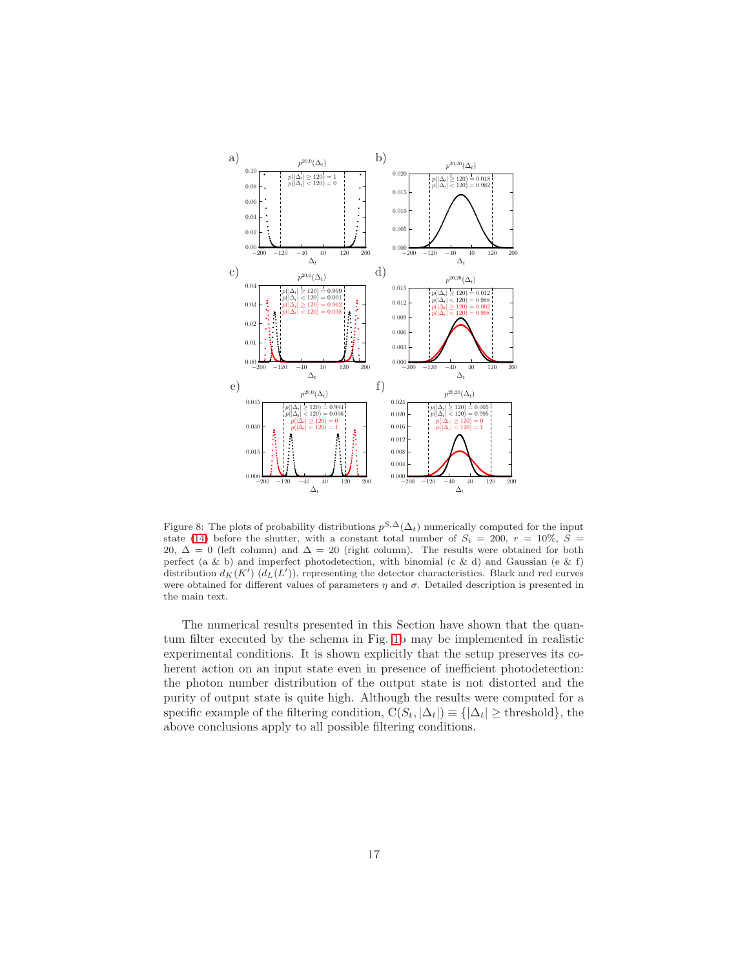

<span id="page-16-0"></span>Figure 8: The plots of probability distributions  $p^{S,\Delta}(\Delta_t)$  numerically computed for the input state [\(14\)](#page-9-0) before the shutter, with a constant total number of  $S_i = 200, r = 10\%, S =$ 20,  $\Delta = 0$  (left column) and  $\Delta = 20$  (right column). The results were obtained for both perfect (a & b) and imperfect photodetection, with binomial (c & d) and Gaussian (e & f) distribution  $d_K(K')$   $(d_L(L'))$ , representing the detector characteristics. Black and red curves were obtained for different values of parameters  $\eta$  and  $\sigma$ . Detailed description is presented in the main text.

The numerical results presented in this Section have shown that the quantum filter executed by the schema in Fig. [1b](#page-2-2) may be implemented in realistic experimental conditions. It is shown explicitly that the setup preserves its coherent action on an input state even in presence of inefficient photodetection: the photon number distribution of the output state is not distorted and the purity of output state is quite high. Although the results were computed for a specific example of the filtering condition,  $C(S_t, |\Delta_t|) \equiv \{|\Delta_t| \geq \text{threshold}\},\$ above conclusions apply to all possible filtering conditions.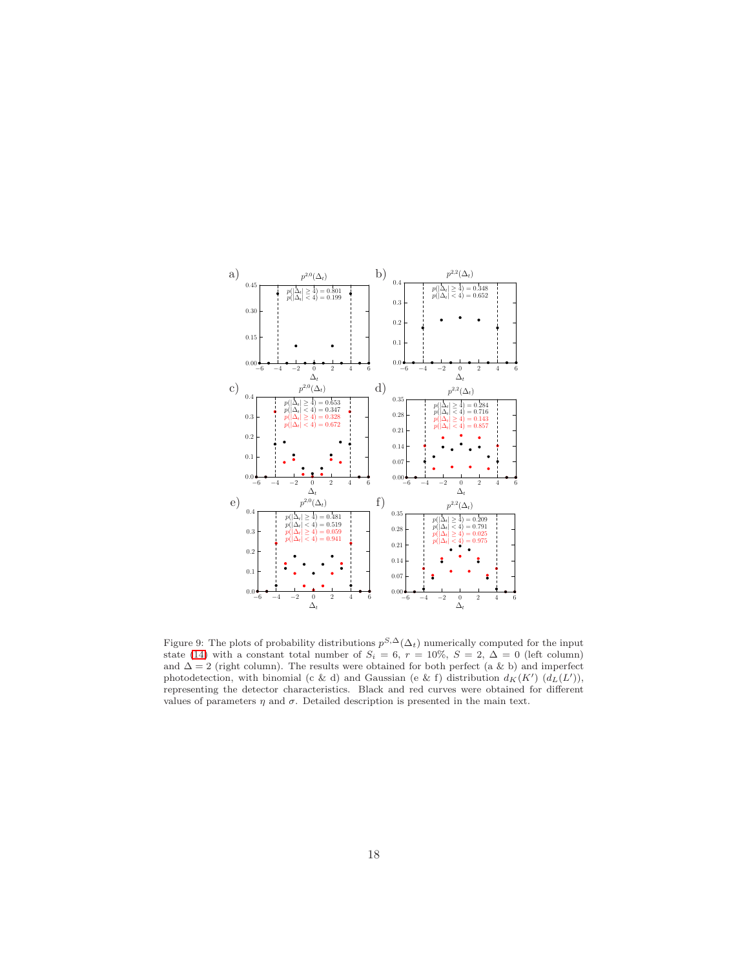

<span id="page-17-0"></span>Figure 9: The plots of probability distributions  $p^{S,\Delta}(\Delta_t)$  numerically computed for the input state [\(14\)](#page-9-0) with a constant total number of  $S_i = 6$ ,  $r = 10\%$ ,  $S = 2$ ,  $\Delta = 0$  (left column) and  $\Delta = 2$  (right column). The results were obtained for both perfect (a & b) and imperfect photodetection, with binomial (c & d) and Gaussian (e & f) distribution  $d_K(K')$   $(d_L(L'))$ , representing the detector characteristics. Black and red curves were obtained for different values of parameters  $\eta$  and  $\sigma$ . Detailed description is presented in the main text.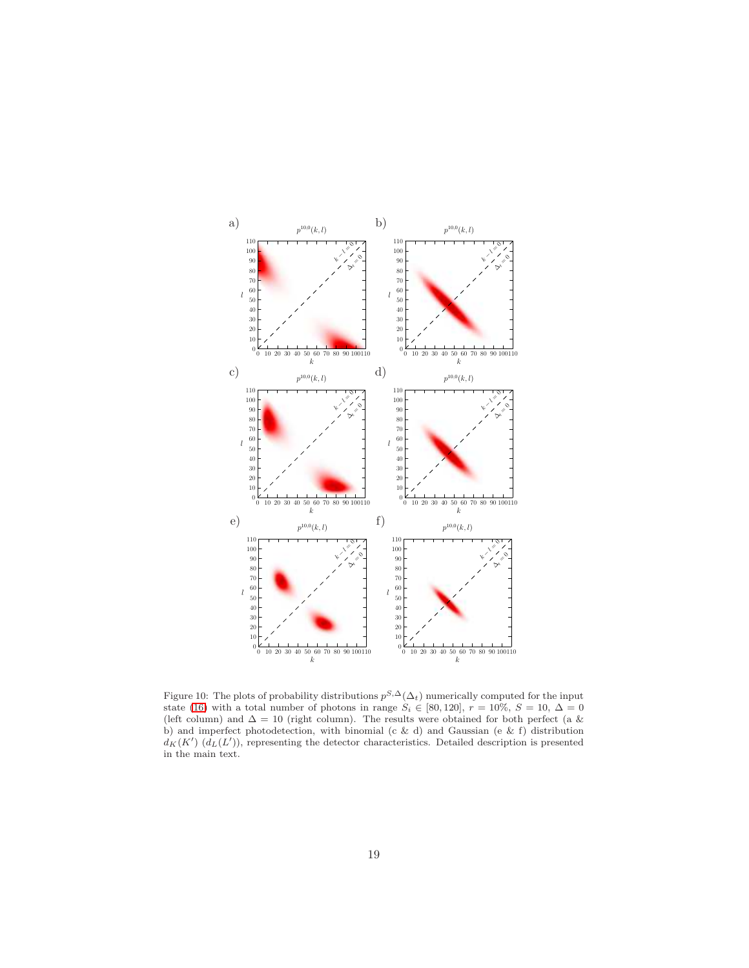

<span id="page-18-0"></span>Figure 10: The plots of probability distributions  $p^{S,\Delta}(\Delta_t)$  numerically computed for the input state [\(16\)](#page-9-1) with a total number of photons in range  $S_i \in [80, 120]$ ,  $r = 10\%$ ,  $S = 10$ ,  $\Delta = 0$ (left column) and  $\Delta = 10$  (right column). The results were obtained for both perfect (a & b) and imperfect photodetection, with binomial (c & d) and Gaussian (e & f) distribution  $d_K(K')$   $(d_L(L'))$ , representing the detector characteristics. Detailed description is presented in the main text.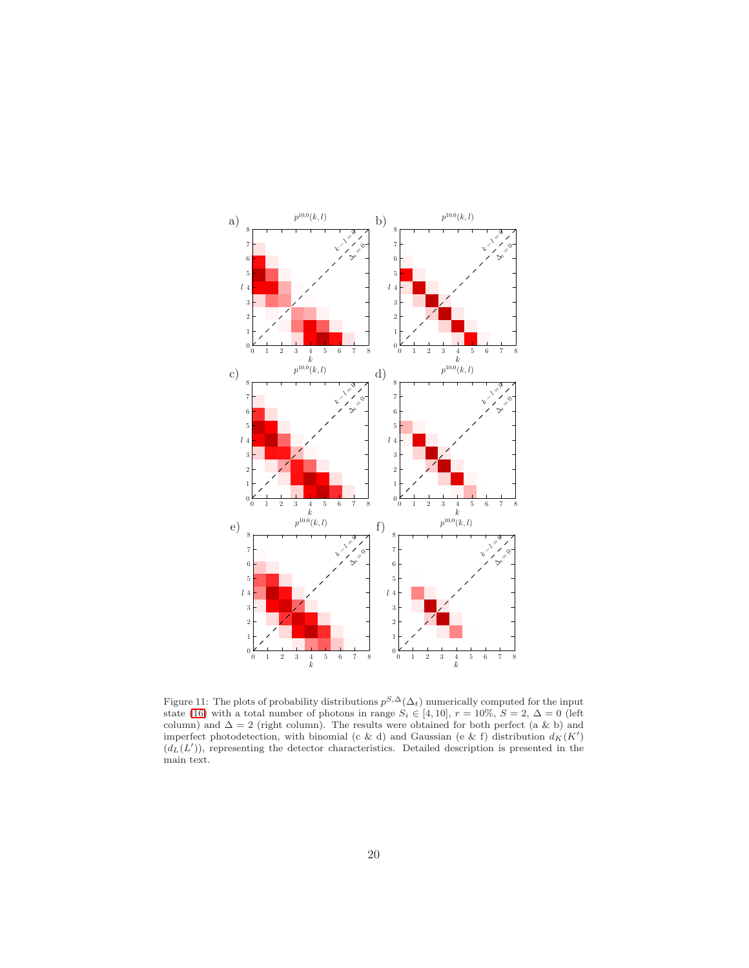

<span id="page-19-0"></span>Figure 11: The plots of probability distributions  $p^{S,\Delta}(\Delta_t)$  numerically computed for the input state [\(16\)](#page-9-1) with a total number of photons in range  $S_i \in [4, 10]$ ,  $r = 10\%$ ,  $S = 2$ ,  $\Delta = 0$  (left column) and  $\Delta = 2$  (right column). The results were obtained for both perfect (a & b) and imperfect photodetection, with binomial (c & d) and Gaussian (e & f) distribution  $d_K(K')$  $(d_L(L'))$ , representing the detector characteristics. Detailed description is presented in the main text.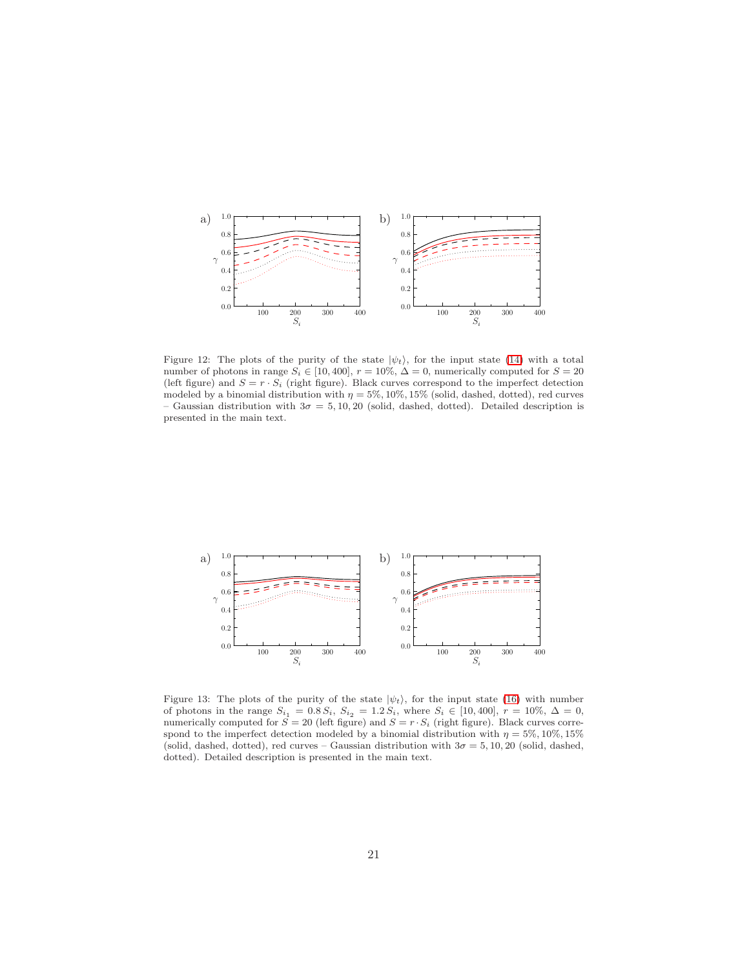

<span id="page-20-0"></span>Figure 12: The plots of the purity of the state  $|\psi_t\rangle$ , for the input state [\(14\)](#page-9-0) with a total number of photons in range  $S_i \in [10, 400]$ ,  $r = 10\%$ ,  $\Delta = 0$ , numerically computed for  $S = 20$ (left figure) and  $S = r \cdot S_i$  (right figure). Black curves correspond to the imperfect detection modeled by a binomial distribution with  $\eta = 5\%, 10\%, 15\%$  (solid, dashed, dotted), red curves – Gaussian distribution with  $3\sigma = 5, 10, 20$  (solid, dashed, dotted). Detailed description is presented in the main text.



<span id="page-20-1"></span>Figure 13: The plots of the purity of the state  $|\psi_t\rangle$ , for the input state [\(16\)](#page-9-1) with number of photons in the range  $S_{i_1} = 0.8 S_i$ ,  $S_{i_2} = 1.2 S_i$ , where  $S_i \in [10, 400]$ ,  $r = 10\%$ ,  $\Delta = 0$ , numerically computed for  $S = 20$  (left figure) and  $S = r \cdot S_i$  (right figure). Black curves correspond to the imperfect detection modeled by a binomial distribution with  $\eta=5\%,10\%,15\%$ (solid, dashed, dotted), red curves – Gaussian distribution with  $3\sigma = 5, 10, 20$  (solid, dashed, dotted). Detailed description is presented in the main text.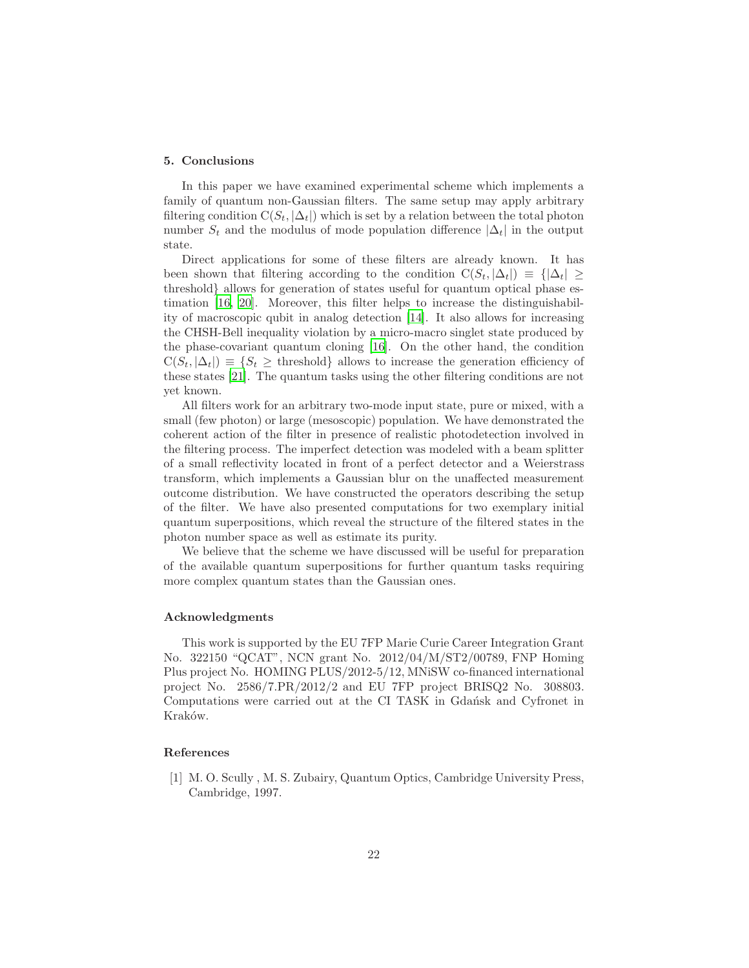#### 5. Conclusions

In this paper we have examined experimental scheme which implements a family of quantum non-Gaussian filters. The same setup may apply arbitrary filtering condition  $C(S_t, |\Delta_t|)$  which is set by a relation between the total photon number  $S_t$  and the modulus of mode population difference  $|\Delta_t|$  in the output state.

Direct applications for some of these filters are already known. It has been shown that filtering according to the condition  $C(S_t, |\Delta_t|) \equiv {|\Delta_t|} \ge$ threshold} allows for generation of states useful for quantum optical phase estimation [\[16](#page-23-0), [20\]](#page-23-4). Moreover, this filter helps to increase the distinguishability of macroscopic qubit in analog detection [\[14\]](#page-22-12). It also allows for increasing the CHSH-Bell inequality violation by a micro-macro singlet state produced by the phase-covariant quantum cloning [\[16\]](#page-23-0). On the other hand, the condition  $C(S_t, |\Delta_t|) \equiv \{S_t \geq \text{threshold}\}\$ allows to increase the generation efficiency of these states [\[21](#page-23-5)]. The quantum tasks using the other filtering conditions are not yet known.

All filters work for an arbitrary two-mode input state, pure or mixed, with a small (few photon) or large (mesoscopic) population. We have demonstrated the coherent action of the filter in presence of realistic photodetection involved in the filtering process. The imperfect detection was modeled with a beam splitter of a small reflectivity located in front of a perfect detector and a Weierstrass transform, which implements a Gaussian blur on the unaffected measurement outcome distribution. We have constructed the operators describing the setup of the filter. We have also presented computations for two exemplary initial quantum superpositions, which reveal the structure of the filtered states in the photon number space as well as estimate its purity.

We believe that the scheme we have discussed will be useful for preparation of the available quantum superpositions for further quantum tasks requiring more complex quantum states than the Gaussian ones.

#### Acknowledgments

This work is supported by the EU 7FP Marie Curie Career Integration Grant No. 322150 "QCAT", NCN grant No. 2012/04/M/ST2/00789, FNP Homing Plus project No. HOMING PLUS/2012-5/12, MNiSW co-financed international project No. 2586/7.PR/2012/2 and EU 7FP project BRISQ2 No. 308803. Computations were carried out at the CI TASK in Gdańsk and Cyfronet in Kraków.

#### References

<span id="page-21-0"></span>[1] M. O. Scully , M. S. Zubairy, Quantum Optics, Cambridge University Press, Cambridge, 1997.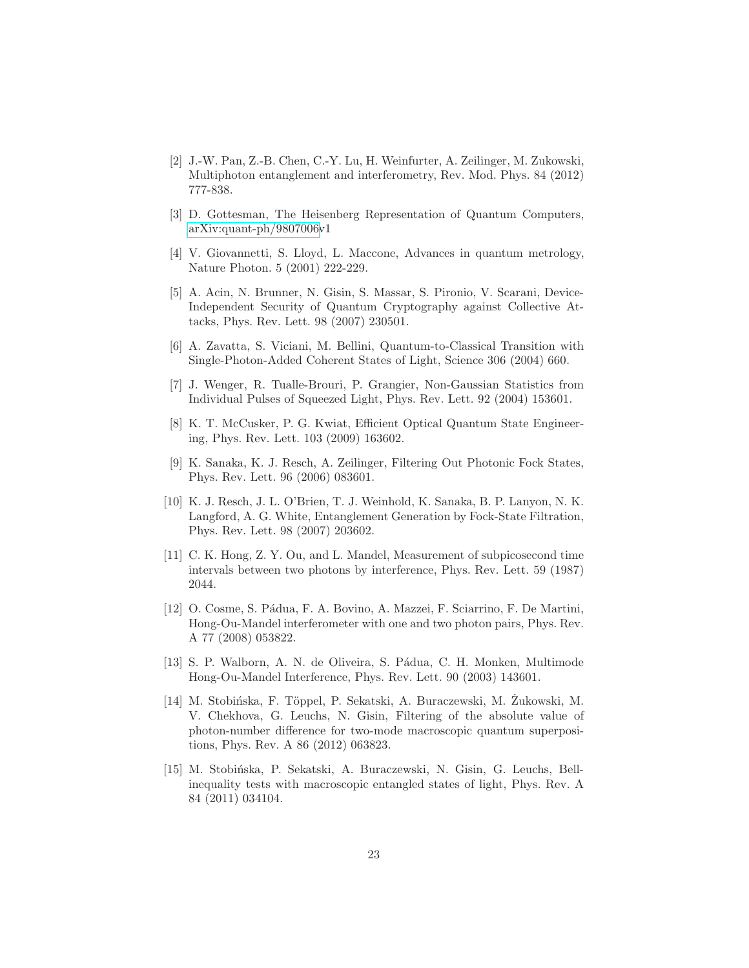- <span id="page-22-0"></span>[2] J.-W. Pan, Z.-B. Chen, C.-Y. Lu, H. Weinfurter, A. Zeilinger, M. Zukowski, Multiphoton entanglement and interferometry, Rev. Mod. Phys. 84 (2012) 777-838.
- <span id="page-22-1"></span>[3] D. Gottesman, The Heisenberg Representation of Quantum Computers, [arXiv:quant-ph/9807006v](http://arxiv.org/abs/quant-ph/9807006)1
- <span id="page-22-2"></span>[4] V. Giovannetti, S. Lloyd, L. Maccone, Advances in quantum metrology, Nature Photon. 5 (2001) 222-229.
- <span id="page-22-3"></span>[5] A. Acin, N. Brunner, N. Gisin, S. Massar, S. Pironio, V. Scarani, Device-Independent Security of Quantum Cryptography against Collective Attacks, Phys. Rev. Lett. 98 (2007) 230501.
- <span id="page-22-4"></span>[6] A. Zavatta, S. Viciani, M. Bellini, Quantum-to-Classical Transition with Single-Photon-Added Coherent States of Light, Science 306 (2004) 660.
- <span id="page-22-5"></span>[7] J. Wenger, R. Tualle-Brouri, P. Grangier, Non-Gaussian Statistics from Individual Pulses of Squeezed Light, Phys. Rev. Lett. 92 (2004) 153601.
- <span id="page-22-6"></span>[8] K. T. McCusker, P. G. Kwiat, Efficient Optical Quantum State Engineering, Phys. Rev. Lett. 103 (2009) 163602.
- <span id="page-22-7"></span>[9] K. Sanaka, K. J. Resch, A. Zeilinger, Filtering Out Photonic Fock States, Phys. Rev. Lett. 96 (2006) 083601.
- <span id="page-22-8"></span>[10] K. J. Resch, J. L. O'Brien, T. J. Weinhold, K. Sanaka, B. P. Lanyon, N. K. Langford, A. G. White, Entanglement Generation by Fock-State Filtration, Phys. Rev. Lett. 98 (2007) 203602.
- <span id="page-22-9"></span>[11] C. K. Hong, Z. Y. Ou, and L. Mandel, Measurement of subpicosecond time intervals between two photons by interference, Phys. Rev. Lett. 59 (1987) 2044.
- <span id="page-22-10"></span>[12] O. Cosme, S. P´adua, F. A. Bovino, A. Mazzei, F. Sciarrino, F. De Martini, Hong-Ou-Mandel interferometer with one and two photon pairs, Phys. Rev. A 77 (2008) 053822.
- <span id="page-22-11"></span>[13] S. P. Walborn, A. N. de Oliveira, S. Pádua, C. H. Monken, Multimode Hong-Ou-Mandel Interference, Phys. Rev. Lett. 90 (2003) 143601.
- <span id="page-22-12"></span>[14] M. Stobińska, F. Töppel, P. Sekatski, A. Buraczewski, M. Zukowski, M. V. Chekhova, G. Leuchs, N. Gisin, Filtering of the absolute value of photon-number difference for two-mode macroscopic quantum superpositions, Phys. Rev. A 86 (2012) 063823.
- <span id="page-22-13"></span>[15] M. Stobi´nska, P. Sekatski, A. Buraczewski, N. Gisin, G. Leuchs, Bellinequality tests with macroscopic entangled states of light, Phys. Rev. A 84 (2011) 034104.